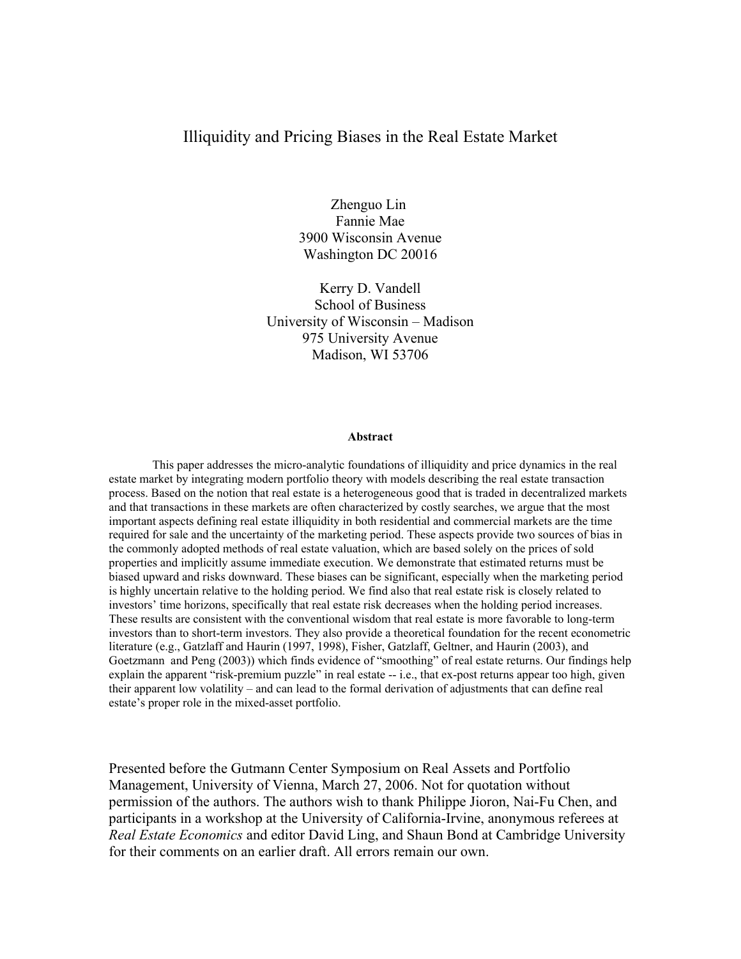## Illiquidity and Pricing Biases in the Real Estate Market

Zhenguo Lin Fannie Mae 3900 Wisconsin Avenue Washington DC 20016

Kerry D. Vandell School of Business University of Wisconsin – Madison 975 University Avenue Madison, WI 53706

#### **Abstract**

This paper addresses the micro-analytic foundations of illiquidity and price dynamics in the real estate market by integrating modern portfolio theory with models describing the real estate transaction process. Based on the notion that real estate is a heterogeneous good that is traded in decentralized markets and that transactions in these markets are often characterized by costly searches, we argue that the most important aspects defining real estate illiquidity in both residential and commercial markets are the time required for sale and the uncertainty of the marketing period. These aspects provide two sources of bias in the commonly adopted methods of real estate valuation, which are based solely on the prices of sold properties and implicitly assume immediate execution. We demonstrate that estimated returns must be biased upward and risks downward. These biases can be significant, especially when the marketing period is highly uncertain relative to the holding period. We find also that real estate risk is closely related to investors' time horizons, specifically that real estate risk decreases when the holding period increases. These results are consistent with the conventional wisdom that real estate is more favorable to long-term investors than to short-term investors. They also provide a theoretical foundation for the recent econometric literature (e.g., Gatzlaff and Haurin (1997, 1998), Fisher, Gatzlaff, Geltner, and Haurin (2003), and Goetzmann and Peng (2003)) which finds evidence of "smoothing" of real estate returns. Our findings help explain the apparent "risk-premium puzzle" in real estate -- i.e., that ex-post returns appear too high, given their apparent low volatility – and can lead to the formal derivation of adjustments that can define real estate's proper role in the mixed-asset portfolio.

Presented before the Gutmann Center Symposium on Real Assets and Portfolio Management, University of Vienna, March 27, 2006. Not for quotation without permission of the authors. The authors wish to thank Philippe Jioron, Nai-Fu Chen, and participants in a workshop at the University of California-Irvine, anonymous referees at *Real Estate Economics* and editor David Ling, and Shaun Bond at Cambridge University for their comments on an earlier draft. All errors remain our own.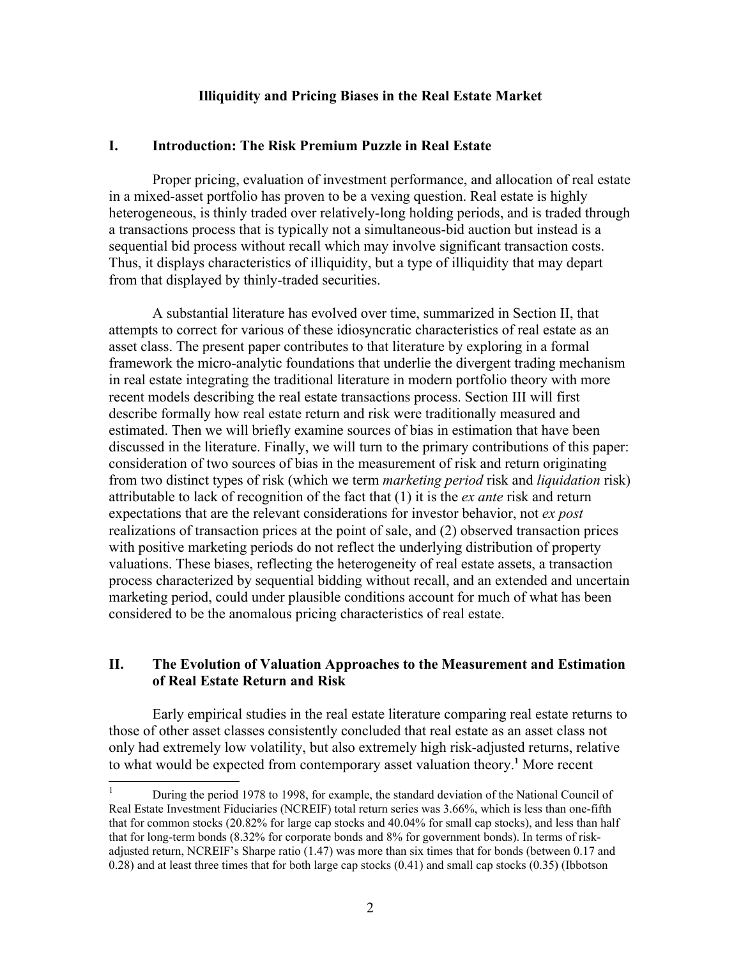### **Illiquidity and Pricing Biases in the Real Estate Market**

### **I. Introduction: The Risk Premium Puzzle in Real Estate**

Proper pricing, evaluation of investment performance, and allocation of real estate in a mixed-asset portfolio has proven to be a vexing question. Real estate is highly heterogeneous, is thinly traded over relatively-long holding periods, and is traded through a transactions process that is typically not a simultaneous-bid auction but instead is a sequential bid process without recall which may involve significant transaction costs. Thus, it displays characteristics of illiquidity, but a type of illiquidity that may depart from that displayed by thinly-traded securities.

A substantial literature has evolved over time, summarized in Section II, that attempts to correct for various of these idiosyncratic characteristics of real estate as an asset class. The present paper contributes to that literature by exploring in a formal framework the micro-analytic foundations that underlie the divergent trading mechanism in real estate integrating the traditional literature in modern portfolio theory with more recent models describing the real estate transactions process. Section III will first describe formally how real estate return and risk were traditionally measured and estimated. Then we will briefly examine sources of bias in estimation that have been discussed in the literature. Finally, we will turn to the primary contributions of this paper: consideration of two sources of bias in the measurement of risk and return originating from two distinct types of risk (which we term *marketing period* risk and *liquidation* risk) attributable to lack of recognition of the fact that (1) it is the *ex ante* risk and return expectations that are the relevant considerations for investor behavior, not *ex post* realizations of transaction prices at the point of sale, and (2) observed transaction prices with positive marketing periods do not reflect the underlying distribution of property valuations. These biases, reflecting the heterogeneity of real estate assets, a transaction process characterized by sequential bidding without recall, and an extended and uncertain marketing period, could under plausible conditions account for much of what has been considered to be the anomalous pricing characteristics of real estate.

## **II. The Evolution of Valuation Approaches to the Measurement and Estimation of Real Estate Return and Risk**

Early empirical studies in the real estate literature comparing real estate returns to those of other asset classes consistently concluded that real estate as an asset class not only had extremely low volatility, but also extremely high risk-adjusted returns, relative to what would be expected from contemporary asset valuation theory.**[1](#page-1-0)** More recent

<span id="page-1-0"></span><sup>1</sup> During the period 1978 to 1998, for example, the standard deviation of the National Council of Real Estate Investment Fiduciaries (NCREIF) total return series was 3.66%, which is less than one-fifth that for common stocks (20.82% for large cap stocks and 40.04% for small cap stocks), and less than half that for long-term bonds (8.32% for corporate bonds and 8% for government bonds). In terms of riskadjusted return, NCREIF's Sharpe ratio (1.47) was more than six times that for bonds (between 0.17 and 0.28) and at least three times that for both large cap stocks (0.41) and small cap stocks (0.35) (Ibbotson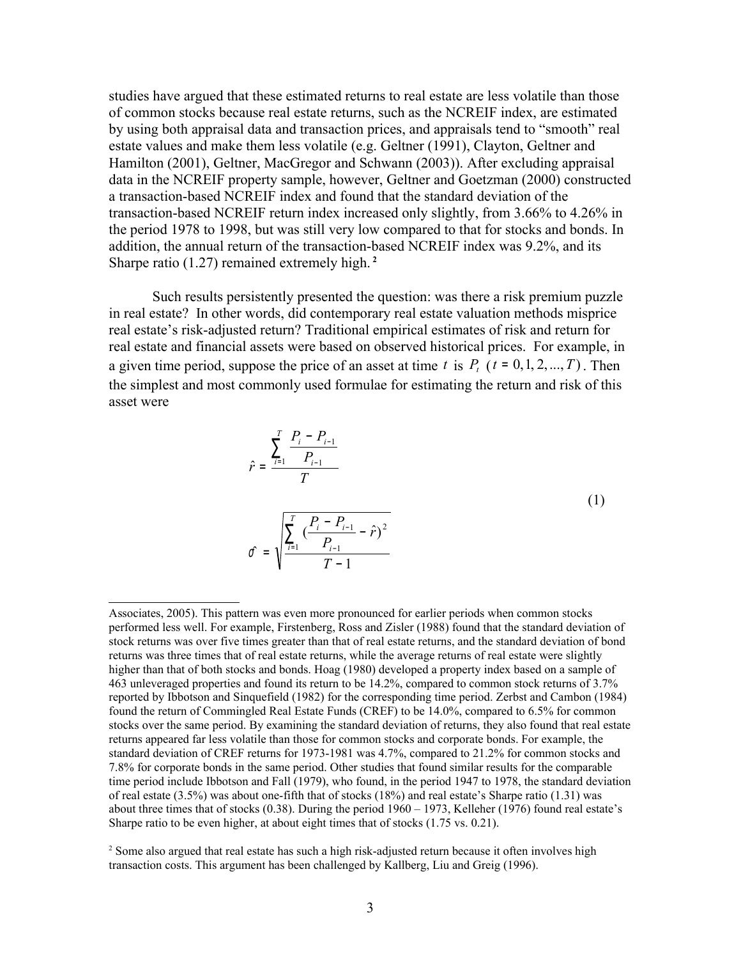studies have argued that these estimated returns to real estate are less volatile than those of common stocks because real estate returns, such as the NCREIF index, are estimated by using both appraisal data and transaction prices, and appraisals tend to "smooth" real estate values and make them less volatile (e.g. Geltner (1991), Clayton, Geltner and Hamilton (2001), Geltner, MacGregor and Schwann (2003)). After excluding appraisal data in the NCREIF property sample, however, Geltner and Goetzman (2000) constructed a transaction-based NCREIF index and found that the standard deviation of the transaction-based NCREIF return index increased only slightly, from 3.66% to 4.26% in the period 1978 to 1998, but was still very low compared to that for stocks and bonds. In addition, the annual return of the transaction-based NCREIF index was 9.2%, and its Sharpe ratio (1.27) remained extremely high. **[2](#page-2-0)**

Such results persistently presented the question: was there a risk premium puzzle in real estate? In other words, did contemporary real estate valuation methods misprice real estate's risk-adjusted return? Traditional empirical estimates of risk and return for real estate and financial assets were based on observed historical prices. For example, in a given time period, suppose the price of an asset at time *t* is  $P_t$  ( $t = 0, 1, 2, ..., T$ ). Then the simplest and most commonly used formulae for estimating the return and risk of this asset were

$$
\hat{r} = \frac{\sum_{i=1}^{T} \frac{P_i - P_{i-1}}{P_{i-1}}}{T}
$$
\n
$$
\hat{\sigma} = \sqrt{\frac{\sum_{i=1}^{T} \left(\frac{P_i - P_{i-1}}{P_{i-1}} - \hat{r}\right)^2}{T - 1}}
$$
\n(1)

Associates, 2005). This pattern was even more pronounced for earlier periods when common stocks performed less well. For example, Firstenberg, Ross and Zisler (1988) found that the standard deviation of stock returns was over five times greater than that of real estate returns, and the standard deviation of bond returns was three times that of real estate returns, while the average returns of real estate were slightly higher than that of both stocks and bonds. Hoag (1980) developed a property index based on a sample of 463 unleveraged properties and found its return to be 14.2%, compared to common stock returns of 3.7% reported by Ibbotson and Sinquefield (1982) for the corresponding time period. Zerbst and Cambon (1984) found the return of Commingled Real Estate Funds (CREF) to be 14.0%, compared to 6.5% for common stocks over the same period. By examining the standard deviation of returns, they also found that real estate returns appeared far less volatile than those for common stocks and corporate bonds. For example, the standard deviation of CREF returns for 1973-1981 was 4.7%, compared to 21.2% for common stocks and 7.8% for corporate bonds in the same period. Other studies that found similar results for the comparable time period include Ibbotson and Fall (1979), who found, in the period 1947 to 1978, the standard deviation of real estate (3.5%) was about one-fifth that of stocks (18%) and real estate's Sharpe ratio (1.31) was about three times that of stocks (0.38). During the period 1960 – 1973, Kelleher (1976) found real estate's Sharpe ratio to be even higher, at about eight times that of stocks (1.75 vs. 0.21).

<span id="page-2-0"></span><sup>&</sup>lt;sup>2</sup> Some also argued that real estate has such a high risk-adjusted return because it often involves high transaction costs. This argument has been challenged by Kallberg, Liu and Greig (1996).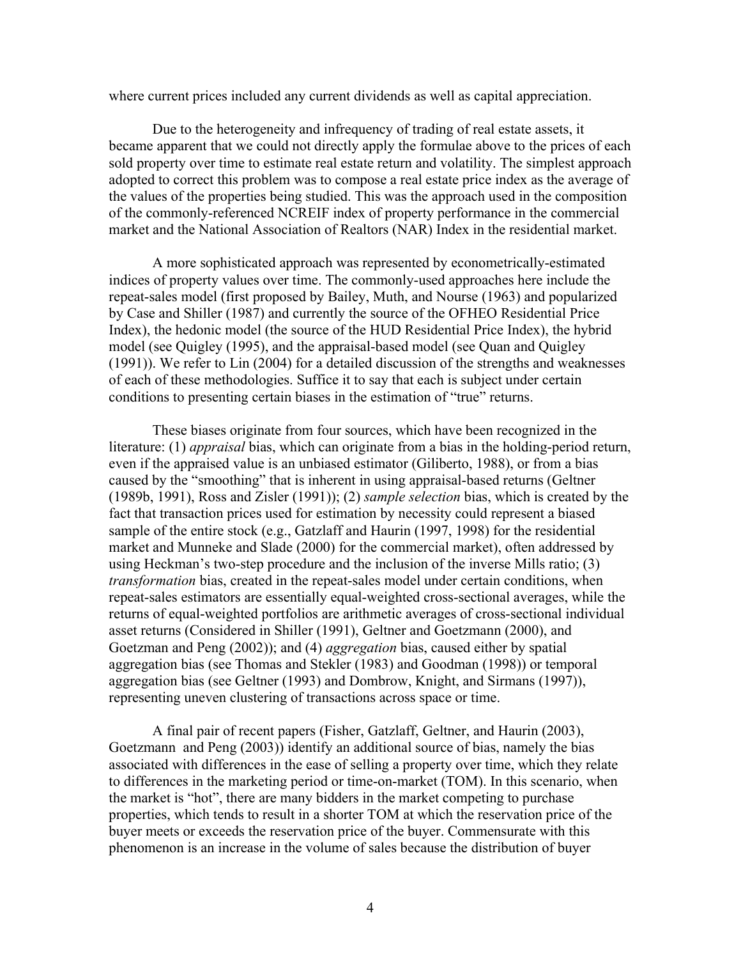where current prices included any current dividends as well as capital appreciation.

Due to the heterogeneity and infrequency of trading of real estate assets, it became apparent that we could not directly apply the formulae above to the prices of each sold property over time to estimate real estate return and volatility. The simplest approach adopted to correct this problem was to compose a real estate price index as the average of the values of the properties being studied. This was the approach used in the composition of the commonly-referenced NCREIF index of property performance in the commercial market and the National Association of Realtors (NAR) Index in the residential market.

A more sophisticated approach was represented by econometrically-estimated indices of property values over time. The commonly-used approaches here include the repeat-sales model (first proposed by Bailey, Muth, and Nourse (1963) and popularized by Case and Shiller (1987) and currently the source of the OFHEO Residential Price Index), the hedonic model (the source of the HUD Residential Price Index), the hybrid model (see Quigley (1995), and the appraisal-based model (see Quan and Quigley (1991)). We refer to Lin (2004) for a detailed discussion of the strengths and weaknesses of each of these methodologies. Suffice it to say that each is subject under certain conditions to presenting certain biases in the estimation of "true" returns.

These biases originate from four sources, which have been recognized in the literature: (1) *appraisal* bias, which can originate from a bias in the holding-period return, even if the appraised value is an unbiased estimator (Giliberto, 1988), or from a bias caused by the "smoothing" that is inherent in using appraisal-based returns (Geltner (1989b, 1991), Ross and Zisler (1991)); (2) *sample selection* bias, which is created by the fact that transaction prices used for estimation by necessity could represent a biased sample of the entire stock (e.g., Gatzlaff and Haurin (1997, 1998) for the residential market and Munneke and Slade (2000) for the commercial market), often addressed by using Heckman's two-step procedure and the inclusion of the inverse Mills ratio; (3) *transformation* bias, created in the repeat-sales model under certain conditions, when repeat-sales estimators are essentially equal-weighted cross-sectional averages, while the returns of equal-weighted portfolios are arithmetic averages of cross-sectional individual asset returns (Considered in Shiller (1991), Geltner and Goetzmann (2000), and Goetzman and Peng (2002)); and (4) *aggregation* bias, caused either by spatial aggregation bias (see Thomas and Stekler (1983) and Goodman (1998)) or temporal aggregation bias (see Geltner (1993) and Dombrow, Knight, and Sirmans (1997)), representing uneven clustering of transactions across space or time.

A final pair of recent papers (Fisher, Gatzlaff, Geltner, and Haurin (2003), Goetzmann and Peng (2003)) identify an additional source of bias, namely the bias associated with differences in the ease of selling a property over time, which they relate to differences in the marketing period or time-on-market (TOM). In this scenario, when the market is "hot", there are many bidders in the market competing to purchase properties, which tends to result in a shorter TOM at which the reservation price of the buyer meets or exceeds the reservation price of the buyer. Commensurate with this phenomenon is an increase in the volume of sales because the distribution of buyer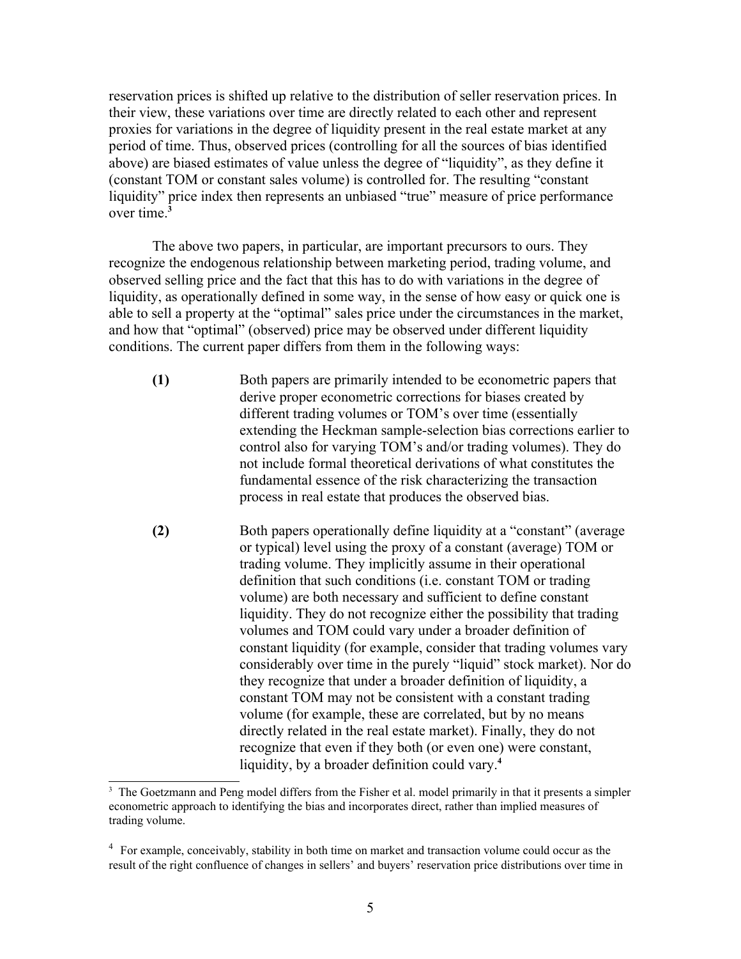reservation prices is shifted up relative to the distribution of seller reservation prices. In their view, these variations over time are directly related to each other and represent proxies for variations in the degree of liquidity present in the real estate market at any period of time. Thus, observed prices (controlling for all the sources of bias identified above) are biased estimates of value unless the degree of "liquidity", as they define it (constant TOM or constant sales volume) is controlled for. The resulting "constant liquidity" price index then represents an unbiased "true" measure of price performance over time. **[3](#page-4-0)**

The above two papers, in particular, are important precursors to ours. They recognize the endogenous relationship between marketing period, trading volume, and observed selling price and the fact that this has to do with variations in the degree of liquidity, as operationally defined in some way, in the sense of how easy or quick one is able to sell a property at the "optimal" sales price under the circumstances in the market, and how that "optimal" (observed) price may be observed under different liquidity conditions. The current paper differs from them in the following ways:

**(1)** Both papers are primarily intended to be econometric papers that derive proper econometric corrections for biases created by different trading volumes or TOM's over time (essentially extending the Heckman sample-selection bias corrections earlier to control also for varying TOM's and/or trading volumes). They do not include formal theoretical derivations of what constitutes the fundamental essence of the risk characterizing the transaction process in real estate that produces the observed bias.

**(2)** Both papers operationally define liquidity at a "constant" (average or typical) level using the proxy of a constant (average) TOM or trading volume. They implicitly assume in their operational definition that such conditions (i.e. constant TOM or trading volume) are both necessary and sufficient to define constant liquidity. They do not recognize either the possibility that trading volumes and TOM could vary under a broader definition of constant liquidity (for example, consider that trading volumes vary considerably over time in the purely "liquid" stock market). Nor do they recognize that under a broader definition of liquidity, a constant TOM may not be consistent with a constant trading volume (for example, these are correlated, but by no means directly related in the real estate market). Finally, they do not recognize that even if they both (or even one) were constant, liquidity, by a broader definition could vary.**[4](#page-4-1)**

<span id="page-4-0"></span><sup>&</sup>lt;sup>3</sup> The Goetzmann and Peng model differs from the Fisher et al. model primarily in that it presents a simpler econometric approach to identifying the bias and incorporates direct, rather than implied measures of trading volume.

<span id="page-4-1"></span><sup>&</sup>lt;sup>4</sup> For example, conceivably, stability in both time on market and transaction volume could occur as the result of the right confluence of changes in sellers' and buyers' reservation price distributions over time in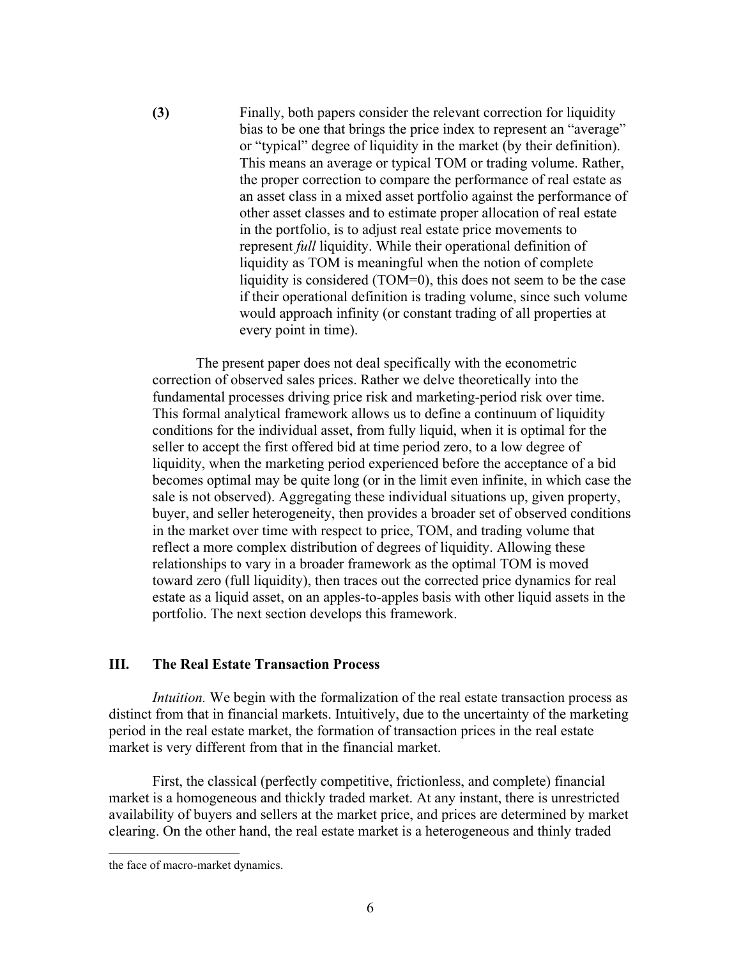**(3)** Finally, both papers consider the relevant correction for liquidity bias to be one that brings the price index to represent an "average" or "typical" degree of liquidity in the market (by their definition). This means an average or typical TOM or trading volume. Rather, the proper correction to compare the performance of real estate as an asset class in a mixed asset portfolio against the performance of other asset classes and to estimate proper allocation of real estate in the portfolio, is to adjust real estate price movements to represent *full* liquidity. While their operational definition of liquidity as TOM is meaningful when the notion of complete liquidity is considered (TOM=0), this does not seem to be the case if their operational definition is trading volume, since such volume would approach infinity (or constant trading of all properties at every point in time).

The present paper does not deal specifically with the econometric correction of observed sales prices. Rather we delve theoretically into the fundamental processes driving price risk and marketing-period risk over time. This formal analytical framework allows us to define a continuum of liquidity conditions for the individual asset, from fully liquid, when it is optimal for the seller to accept the first offered bid at time period zero, to a low degree of liquidity, when the marketing period experienced before the acceptance of a bid becomes optimal may be quite long (or in the limit even infinite, in which case the sale is not observed). Aggregating these individual situations up, given property, buyer, and seller heterogeneity, then provides a broader set of observed conditions in the market over time with respect to price, TOM, and trading volume that reflect a more complex distribution of degrees of liquidity. Allowing these relationships to vary in a broader framework as the optimal TOM is moved toward zero (full liquidity), then traces out the corrected price dynamics for real estate as a liquid asset, on an apples-to-apples basis with other liquid assets in the portfolio. The next section develops this framework.

## **III. The Real Estate Transaction Process**

*Intuition.* We begin with the formalization of the real estate transaction process as distinct from that in financial markets. Intuitively, due to the uncertainty of the marketing period in the real estate market, the formation of transaction prices in the real estate market is very different from that in the financial market.

First, the classical (perfectly competitive, frictionless, and complete) financial market is a homogeneous and thickly traded market. At any instant, there is unrestricted availability of buyers and sellers at the market price, and prices are determined by market clearing. On the other hand, the real estate market is a heterogeneous and thinly traded

the face of macro-market dynamics.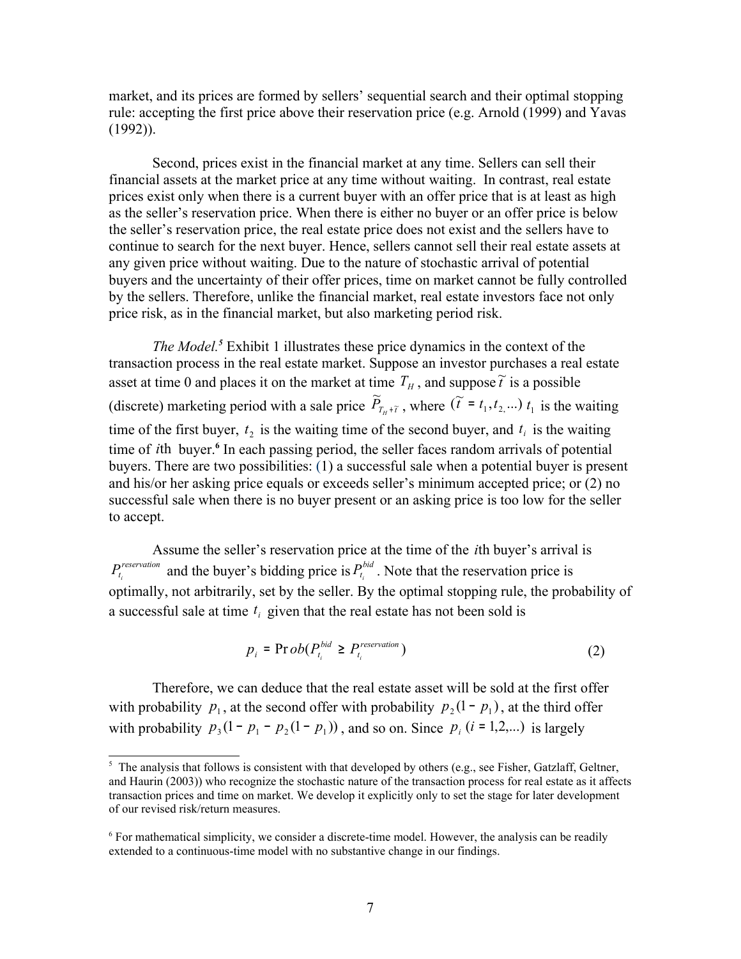market, and its prices are formed by sellers' sequential search and their optimal stopping rule: accepting the first price above their reservation price (e.g. Arnold (1999) and Yavas (1992)).

Second, prices exist in the financial market at any time. Sellers can sell their financial assets at the market price at any time without waiting. In contrast, real estate prices exist only when there is a current buyer with an offer price that is at least as high as the seller's reservation price. When there is either no buyer or an offer price is below the seller's reservation price, the real estate price does not exist and the sellers have to continue to search for the next buyer. Hence, sellers cannot sell their real estate assets at any given price without waiting. Due to the nature of stochastic arrival of potential buyers and the uncertainty of their offer prices, time on market cannot be fully controlled by the sellers. Therefore, unlike the financial market, real estate investors face not only price risk, as in the financial market, but also marketing period risk.

*The Model. [5](#page-6-0)* Exhibit 1 illustrates these price dynamics in the context of the transaction process in the real estate market. Suppose an investor purchases a real estate asset at time 0 and places it on the market at time  $T_H$ , and suppose  $\tilde{t}$  is a possible (discrete) marketing period with a sale price  $\widetilde{P}_{T_H + \widetilde{t}}$ where  $(\tilde{t} = t_1, t_2, ...)$   $t_1$  is the waiting time of the first buyer,  $t_2$  is the waiting time of the second buyer, and  $t_i$  is the waiting time of *i*th buyer.**[6](#page-6-1)** In each passing period, the seller faces random arrivals of potential buyers. There are two possibilities: (1) a successful sale when a potential buyer is present and his/or her asking price equals or exceeds seller's minimum accepted price; or (2) no successful sale when there is no buyer present or an asking price is too low for the seller to accept.

Assume the seller's reservation price at the time of the *i*th buyer's arrival is *reservation*  $P_{t_i}^{reservation}$  and the buyer's bidding price is  $P_{t_i}^{bid}$  $P_{t_i}^{bid}$ . Note that the reservation price is optimally, not arbitrarily, set by the seller. By the optimal stopping rule, the probability of a successful sale at time  $t_i$  given that the real estate has not been sold is

$$
p_i = \text{Pr}\,ob(P_{t_i}^{bid} \geq P_{t_i}^{reservation})
$$

Therefore, we can deduce that the real estate asset will be sold at the first offer with probability  $p_1$ , at the second offer with probability  $p_2(1-p_1)$ , at the third offer with probability  $p_3(1 - p_1 - p_2(1 - p_1))$ , and so on. Since  $p_i$  (*i* = 1,2,...) is largely

<span id="page-6-0"></span><sup>&</sup>lt;sup>5</sup> The analysis that follows is consistent with that developed by others (e.g., see Fisher, Gatzlaff, Geltner, and Haurin (2003)) who recognize the stochastic nature of the transaction process for real estate as it affects transaction prices and time on market. We develop it explicitly only to set the stage for later development of our revised risk/return measures.

<span id="page-6-1"></span><sup>&</sup>lt;sup>6</sup> For mathematical simplicity, we consider a discrete-time model. However, the analysis can be readily extended to a continuous-time model with no substantive change in our findings.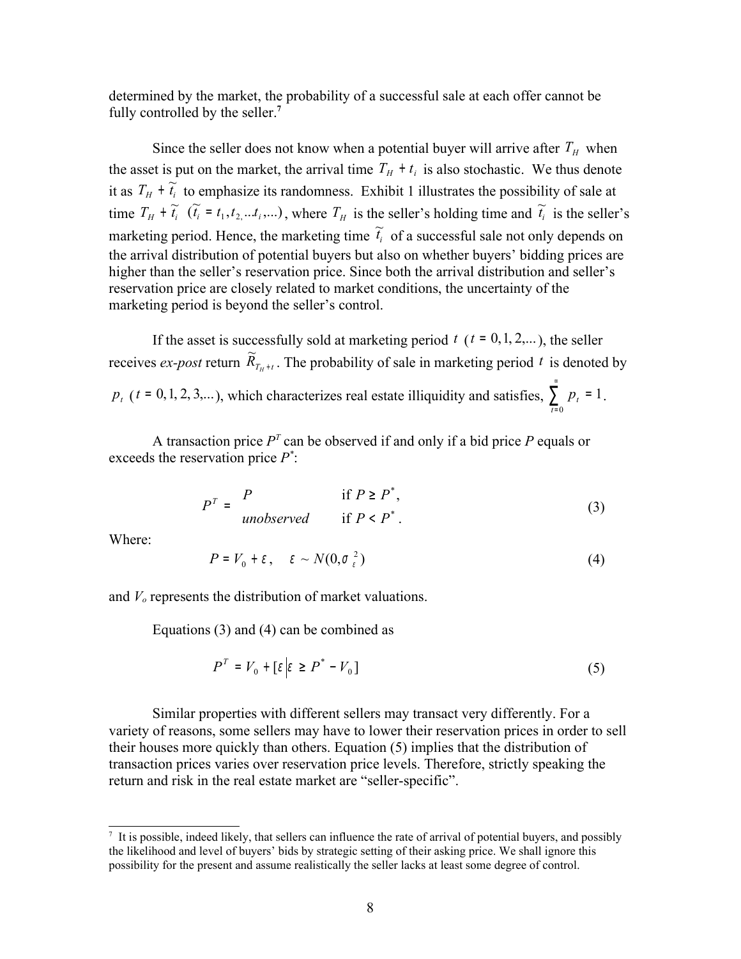determined by the market, the probability of a successful sale at each offer cannot be fully controlled by the seller.**[7](#page-7-0)**

Since the seller does not know when a potential buyer will arrive after  $T_H$  when the asset is put on the market, the arrival time  $T_H + t_i$  is also stochastic. We thus denote it as  $T_H + \tilde{t}_i$  to emphasize its randomness. Exhibit 1 illustrates the possibility of sale at time  $T_H + \tilde{t}_i$  ( $\tilde{t}_i = t_1, t_2, \dots, t_i, \dots$ ), where  $T_H$  is the seller's holding time and  $\tilde{t}_i$  is the seller's marketing period. Hence, the marketing time  $\tilde{t}_i$  of a successful sale not only depends on the arrival distribution of potential buyers but also on whether buyers' bidding prices are higher than the seller's reservation price. Since both the arrival distribution and seller's reservation price are closely related to market conditions, the uncertainty of the marketing period is beyond the seller's control.

If the asset is successfully sold at marketing period  $t$  ( $t = 0, 1, 2,...$ ), the seller receives *ex-post* return  $\widetilde{R}_{T_H+t}$ . The probability of sale in marketing period t is denoted by  $p_{t}$  (*t* = 0, 1, 2, 3,...), which characterizes real estate illiquidity and satisfies,  $\sum_{n=1}^{\infty}$ = = 0 1 *t*  $p_{t} = 1$ .

A transaction price  $P<sup>T</sup>$  can be observed if and only if a bid price  $P$  equals or exceeds the reservation price *P \** :

$$
P^{T} = \begin{cases} P & \text{if } P \ge P^*, \\ \text{unobserved} & \text{if } P < P^*. \end{cases}
$$
 (3)

Where:

$$
P = V_0 + \varepsilon \,, \quad \varepsilon \sim N(0, \sigma_{\varepsilon}^2) \tag{4}
$$

and *Vo* represents the distribution of market valuations.

Equations (3) and (4) can be combined as

$$
P^T = V_0 + \left[\varepsilon \middle| \varepsilon \ge P^* - V_0\right] \tag{5}
$$

Similar properties with different sellers may transact very differently. For a variety of reasons, some sellers may have to lower their reservation prices in order to sell their houses more quickly than others. Equation (5) implies that the distribution of transaction prices varies over reservation price levels. Therefore, strictly speaking the return and risk in the real estate market are "seller-specific".

<span id="page-7-0"></span><sup>&</sup>lt;sup>7</sup> It is possible, indeed likely, that sellers can influence the rate of arrival of potential buyers, and possibly the likelihood and level of buyers' bids by strategic setting of their asking price. We shall ignore this possibility for the present and assume realistically the seller lacks at least some degree of control.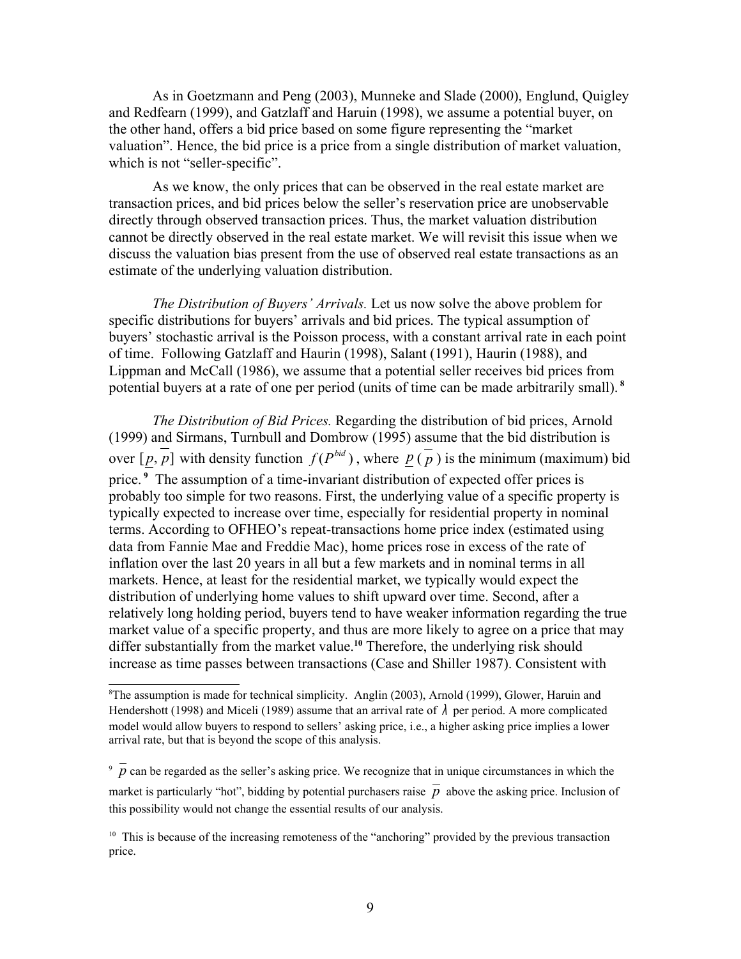As in Goetzmann and Peng (2003), Munneke and Slade (2000), Englund, Quigley and Redfearn (1999), and Gatzlaff and Haruin (1998), we assume a potential buyer, on the other hand, offers a bid price based on some figure representing the "market valuation". Hence, the bid price is a price from a single distribution of market valuation, which is not "seller-specific".

As we know, the only prices that can be observed in the real estate market are transaction prices, and bid prices below the seller's reservation price are unobservable directly through observed transaction prices. Thus, the market valuation distribution cannot be directly observed in the real estate market. We will revisit this issue when we discuss the valuation bias present from the use of observed real estate transactions as an estimate of the underlying valuation distribution.

*The Distribution of Buyers' Arrivals.* Let us now solve the above problem for specific distributions for buyers' arrivals and bid prices. The typical assumption of buyers' stochastic arrival is the Poisson process, with a constant arrival rate in each point of time. Following Gatzlaff and Haurin (1998), Salant (1991), Haurin (1988), and Lippman and McCall (1986), we assume that a potential seller receives bid prices from potential buyers at a rate of one per period (units of time can be made arbitrarily small). **[8](#page-8-0)**

*The Distribution of Bid Prices.* Regarding the distribution of bid prices, Arnold (1999) and Sirmans, Turnbull and Dombrow (1995) assume that the bid distribution is over  $[p, p]$  with density function  $f(P^{bid})$ , where  $p(\overline{p})$  is the minimum (maximum) bid price.<sup>[9](#page-8-1)</sup> The assumption of a time-invariant distribution of expected offer prices is probably too simple for two reasons. First, the underlying value of a specific property is typically expected to increase over time, especially for residential property in nominal terms. According to OFHEO's repeat-transactions home price index (estimated using data from Fannie Mae and Freddie Mac), home prices rose in excess of the rate of inflation over the last 20 years in all but a few markets and in nominal terms in all markets. Hence, at least for the residential market, we typically would expect the distribution of underlying home values to shift upward over time. Second, after a relatively long holding period, buyers tend to have weaker information regarding the true market value of a specific property, and thus are more likely to agree on a price that may differ substantially from the market value. **[10](#page-8-2)** Therefore, the underlying risk should increase as time passes between transactions (Case and Shiller 1987). Consistent with

<span id="page-8-0"></span> ${}^8$ The assumption is made for technical simplicity. Anglin (2003), Arnold (1999), Glower, Haruin and Hendershott (1998) and Miceli (1989) assume that an arrival rate of  $\lambda$  per period. A more complicated model would allow buyers to respond to sellers' asking price, i.e., a higher asking price implies a lower arrival rate, but that is beyond the scope of this analysis.

<span id="page-8-1"></span> $\overline{p}$  can be regarded as the seller's asking price. We recognize that in unique circumstances in which the market is particularly "hot", bidding by potential purchasers raise  $\bar{p}$  above the asking price. Inclusion of this possibility would not change the essential results of our analysis.

<span id="page-8-2"></span> $10$  This is because of the increasing remoteness of the "anchoring" provided by the previous transaction price.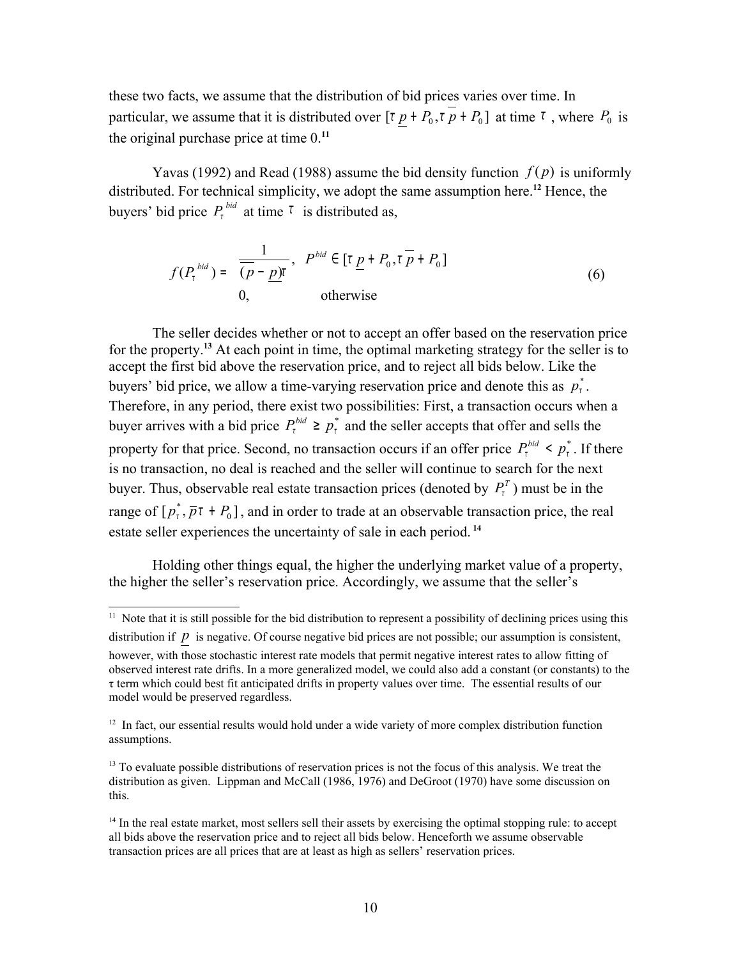these two facts, we assume that the distribution of bid prices varies over time. In particular, we assume that it is distributed over  $\lbrack \tau \ p + P_0, \tau \ p + P_0 \rbrack$  at time  $\tau$ , where  $P_0$  is the original purchase price at time 0.**[11](#page-9-0)**

Yavas (1992) and Read (1988) assume the bid density function  $f(p)$  is uniformly distributed. For technical simplicity, we adopt the same assumption here.<sup>[12](#page-9-1)</sup> Hence, the buyers' bid price  $P_t^{bid}$  at time  $\tau$  is distributed as,

$$
f(P_t^{bid}) = \begin{cases} \frac{1}{(\overline{p} - \underline{p})t}, & P^{bid} \in [\overline{v} \underline{p} + P_0, \overline{v} + P_0] \\ 0, & \text{otherwise} \end{cases}
$$
(6)

The seller decides whether or not to accept an offer based on the reservation price for the property.**[13](#page-9-2)** At each point in time, the optimal marketing strategy for the seller is to accept the first bid above the reservation price, and to reject all bids below. Like the buyers' bid price, we allow a time-varying reservation price and denote this as  $p_t^*$ . Therefore, in any period, there exist two possibilities: First, a transaction occurs when a buyer arrives with a bid price  $P_t^{bid} \geq p_t^*$  and the seller accepts that offer and sells the property for that price. Second, no transaction occurs if an offer price  $P_t^{bid} \leq p_t^*$ . If there is no transaction, no deal is reached and the seller will continue to search for the next buyer. Thus, observable real estate transaction prices (denoted by  $P_t^T$ ) must be in the range of  $[p_i^*, \overline{p}t + P_0]$  $p_t^*, \bar{p}_t + P_0$ , and in order to trade at an observable transaction price, the real estate seller experiences the uncertainty of sale in each period. **[14](#page-9-3)**

Holding other things equal, the higher the underlying market value of a property, the higher the seller's reservation price. Accordingly, we assume that the seller's

<span id="page-9-0"></span> $\frac{11}{11}$  Note that it is still possible for the bid distribution to represent a possibility of declining prices using this distribution if *p* is negative. Of course negative bid prices are not possible; our assumption is consistent, however, with those stochastic interest rate models that permit negative interest rates to allow fitting of observed interest rate drifts. In a more generalized model, we could also add a constant (or constants) to the τ term which could best fit anticipated drifts in property values over time. The essential results of our model would be preserved regardless.

<span id="page-9-1"></span><sup>&</sup>lt;sup>12</sup> In fact, our essential results would hold under a wide variety of more complex distribution function assumptions.

<span id="page-9-2"></span><sup>&</sup>lt;sup>13</sup> To evaluate possible distributions of reservation prices is not the focus of this analysis. We treat the distribution as given. Lippman and McCall (1986, 1976) and DeGroot (1970) have some discussion on this.

<span id="page-9-3"></span> $14$  In the real estate market, most sellers sell their assets by exercising the optimal stopping rule: to accept all bids above the reservation price and to reject all bids below. Henceforth we assume observable transaction prices are all prices that are at least as high as sellers' reservation prices.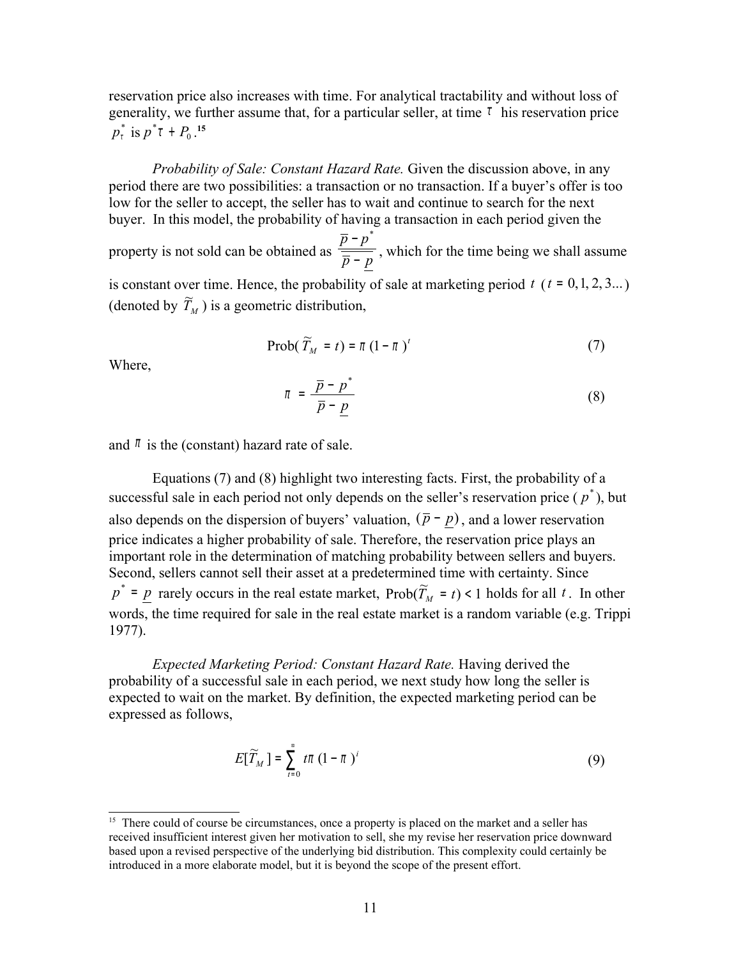reservation price also increases with time. For analytical tractability and without loss of generality, we further assume that, for a particular seller, at time  $\tau$  his reservation price  $p_i^*$  is  $p^*$ t +  $P_0$ .<sup>[15](#page-10-0)</sup>

*Probability of Sale: Constant Hazard Rate.* Given the discussion above, in any period there are two possibilities: a transaction or no transaction. If a buyer's offer is too low for the seller to accept, the seller has to wait and continue to search for the next buyer. In this model, the probability of having a transaction in each period given the

property is not sold can be obtained as  $\frac{p}{\bar{p}-p}$ *p p* − − \* , which for the time being we shall assume

is constant over time. Hence, the probability of sale at marketing period  $t$  ( $t = 0, 1, 2, 3...$ ) (denoted by  $\widetilde{T}_M$ ) is a geometric distribution,

$$
\text{Prob}(\widetilde{T}_M = t) = \pi (1 - \pi)^t \tag{7}
$$

Where,

$$
\pi = \frac{\overline{p} - p^*}{\overline{p} - \underline{p}} \tag{8}
$$

and  $\pi$  is the (constant) hazard rate of sale.

Equations (7) and (8) highlight two interesting facts. First, the probability of a successful sale in each period not only depends on the seller's reservation price  $(p^*)$ , but also depends on the dispersion of buyers' valuation,  $(\bar{p} - p)$ , and a lower reservation price indicates a higher probability of sale. Therefore, the reservation price plays an important role in the determination of matching probability between sellers and buyers. Second, sellers cannot sell their asset at a predetermined time with certainty. Since  $p^* = p$  rarely occurs in the real estate market,  $Prob(\widetilde{T}_M = t) < 1$  holds for all *t*. In other words, the time required for sale in the real estate market is a random variable (e.g. Trippi 1977).

*Expected Marketing Period: Constant Hazard Rate.* Having derived the probability of a successful sale in each period, we next study how long the seller is expected to wait on the market. By definition, the expected marketing period can be expressed as follows,

$$
E[\widetilde{T}_M] = \sum_{t=0}^{\infty} t\pi (1-\pi)^t \tag{9}
$$

<span id="page-10-0"></span><sup>&</sup>lt;sup>15</sup> There could of course be circumstances, once a property is placed on the market and a seller has received insufficient interest given her motivation to sell, she my revise her reservation price downward based upon a revised perspective of the underlying bid distribution. This complexity could certainly be introduced in a more elaborate model, but it is beyond the scope of the present effort.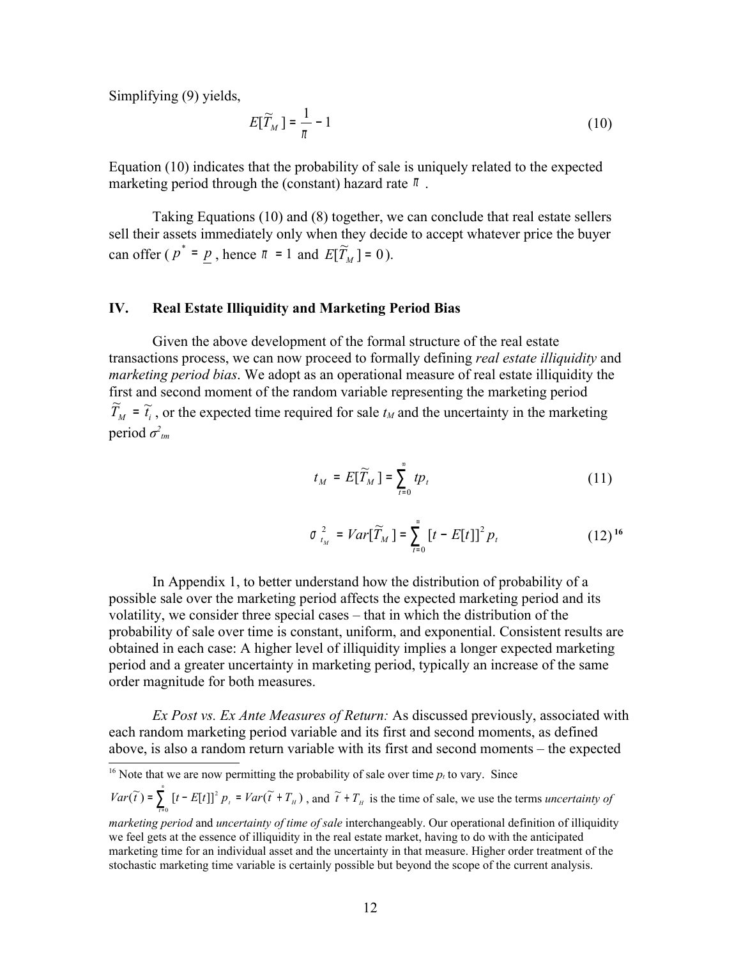Simplifying (9) yields,

$$
E[\widetilde{T}_M] = \frac{1}{\pi} - 1\tag{10}
$$

Equation (10) indicates that the probability of sale is uniquely related to the expected marketing period through the (constant) hazard rate  $\pi$ .

Taking Equations (10) and (8) together, we can conclude that real estate sellers sell their assets immediately only when they decide to accept whatever price the buyer can offer ( $p^* = p$ , hence  $\pi = 1$  and  $E[\widetilde{T}_M] = 0$ ).

### **IV. Real Estate Illiquidity and Marketing Period Bias**

Given the above development of the formal structure of the real estate transactions process, we can now proceed to formally defining *real estate illiquidity* and *marketing period bias*. We adopt as an operational measure of real estate illiquidity the first and second moment of the random variable representing the marketing period  $\widetilde{T}_M = \widetilde{t}_i$ , or the expected time required for sale  $t_M$  and the uncertainty in the marketing period  $\sigma$ <sup>2</sup><sub>tm</sub>

$$
t_M = E[\widetilde{T}_M] = \sum_{t=0}^{\infty} t p_t
$$
 (11)

$$
\sigma_{t_M}^2 = Var[\widetilde{T}_M] = \sum_{t=0}^{\infty} [t - E[t]]^2 p_t
$$
 (12) <sup>16</sup>

In Appendix 1, to better understand how the distribution of probability of a possible sale over the marketing period affects the expected marketing period and its volatility, we consider three special cases – that in which the distribution of the probability of sale over time is constant, uniform, and exponential. Consistent results are obtained in each case: A higher level of illiquidity implies a longer expected marketing period and a greater uncertainty in marketing period, typically an increase of the same order magnitude for both measures.

*Ex Post vs. Ex Ante Measures of Return:* As discussed previously, associated with each random marketing period variable and its first and second moments, as defined above, is also a random return variable with its first and second moments – the expected

<span id="page-11-0"></span><sup>16</sup> Note that we are now permitting the probability of sale over time  $p_t$  to vary. Since

 $(\widetilde{t}) = \sum_{r=1}^{8} [t-E[t]]^2 p_r = Var(\widetilde{t} + T_H)$  $\bf{0}$  $Var(\widetilde{t}) = \sum_{t=0}^{8} [t - E[t]]^2 p_t = Var(\widetilde{t} + T_H)$  $\int_{\mathbb{R}^d}^{\infty} [t - E[t]]^2 p_t = Var(\tilde{t} + T_H)$ , and  $\tilde{t} + T_H$  is the time of sale, we use the terms *uncertainty of* 

*marketing period* and *uncertainty of time of sale* interchangeably. Our operational definition of illiquidity we feel gets at the essence of illiquidity in the real estate market, having to do with the anticipated marketing time for an individual asset and the uncertainty in that measure. Higher order treatment of the stochastic marketing time variable is certainly possible but beyond the scope of the current analysis.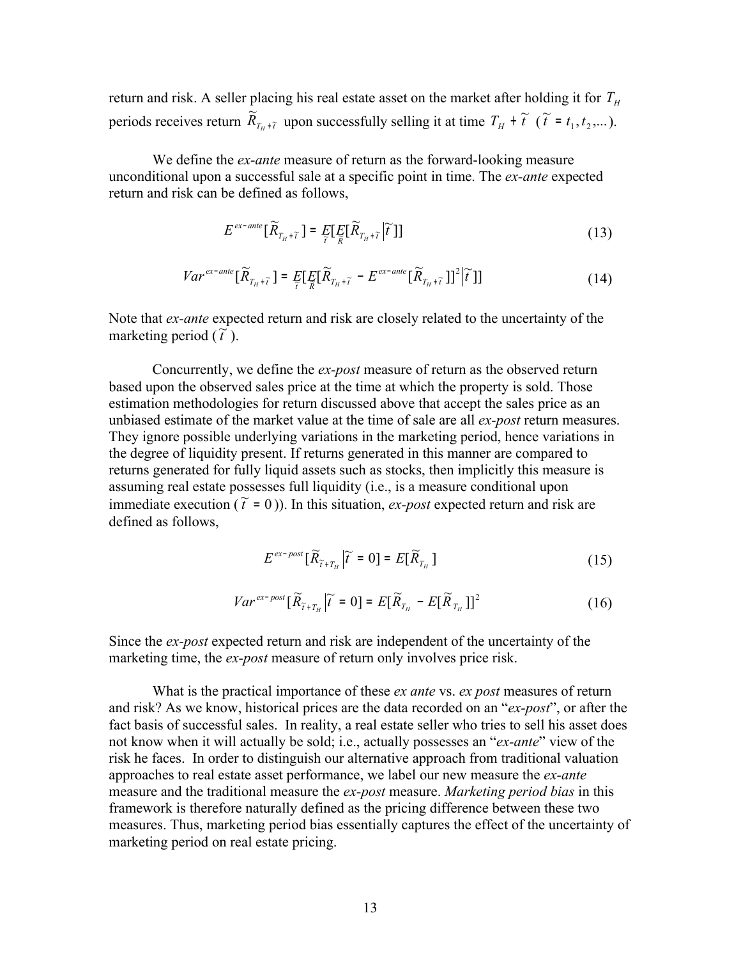return and risk. A seller placing his real estate asset on the market after holding it for  $T_H$ periods receives return  $\overline{\widetilde{R}}_{T_H+\widetilde{t}}$  $T_{H}$ <sup>+</sup>  $\widetilde{t}$  upon successfully selling it at time  $T_{H}$  +  $\widetilde{t}$  ( $\widetilde{t}$  =  $t_1, t_2, ...$  $\widetilde{t} = t_1, t_2, \dots$ .

We define the *ex-ante* measure of return as the forward-looking measure unconditional upon a successful sale at a specific point in time. The *ex-ante* expected return and risk can be defined as follows,

$$
E^{ex-ante}[\widetilde{R}_{T_H+\widetilde{t}}] = E[E_{\widetilde{R}}[\widetilde{R}_{T_H+\widetilde{t}}|\widetilde{t}]] \qquad (13)
$$

$$
Var^{ex-ante}[\widetilde{R}_{T_H+\widetilde{t}}] = E_{\widetilde{t}}[E_{\widetilde{R}}[\widetilde{R}_{T_H+\widetilde{t}} - E^{ex-ante}[\widetilde{R}_{T_H+\widetilde{t}}]]^2|\widetilde{t}]] \qquad (14)
$$

Note that *ex-ante* expected return and risk are closely related to the uncertainty of the marketing period  $(\tilde{t})$ .

Concurrently, we define the *ex-post* measure of return as the observed return based upon the observed sales price at the time at which the property is sold. Those estimation methodologies for return discussed above that accept the sales price as an unbiased estimate of the market value at the time of sale are all *ex-post* return measures. They ignore possible underlying variations in the marketing period, hence variations in the degree of liquidity present. If returns generated in this manner are compared to returns generated for fully liquid assets such as stocks, then implicitly this measure is assuming real estate possesses full liquidity (i.e., is a measure conditional upon immediate execution ( $\tilde{t} = 0$ )). In this situation, *ex-post* expected return and risk are defined as follows,

$$
E^{ex\text{-}post}[\widetilde{R}_{\widetilde{t}+T_H}|\widetilde{t}=0] = E[\widetilde{R}_{T_H}]\tag{15}
$$

$$
Var^{ex\text{-}post}[\widetilde{R}_{\widetilde{t}+T_H}|\widetilde{t}=0] = E[\widetilde{R}_{T_H} - E[\widetilde{R}_{T_H}]]^2 \qquad (16)
$$

Since the *ex-post* expected return and risk are independent of the uncertainty of the marketing time, the *ex-post* measure of return only involves price risk.

What is the practical importance of these *ex ante* vs. *ex post* measures of return and risk? As we know, historical prices are the data recorded on an "*ex-post*", or after the fact basis of successful sales. In reality, a real estate seller who tries to sell his asset does not know when it will actually be sold; i.e., actually possesses an "*ex-ante*" view of the risk he faces. In order to distinguish our alternative approach from traditional valuation approaches to real estate asset performance, we label our new measure the *ex-ante* measure and the traditional measure the *ex-post* measure. *Marketing period bias* in this framework is therefore naturally defined as the pricing difference between these two measures. Thus, marketing period bias essentially captures the effect of the uncertainty of marketing period on real estate pricing.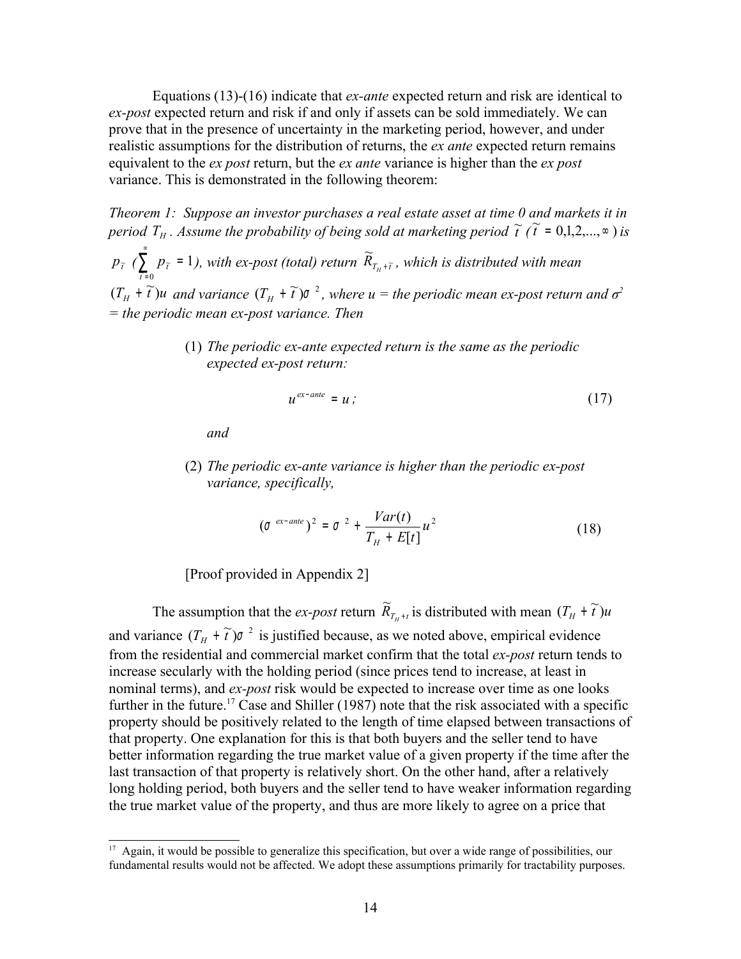Equations (13)-(16) indicate that *ex-ante* expected return and risk are identical to *ex-post* expected return and risk if and only if assets can be sold immediately. We can prove that in the presence of uncertainty in the marketing period, however, and under realistic assumptions for the distribution of returns, the *ex ante* expected return remains equivalent to the *ex post* return, but the *ex ante* variance is higher than the *ex post* variance. This is demonstrated in the following theorem:

*Theorem 1: Suppose an investor purchases a real estate asset at time 0 and markets it in period*  $T_H$ . Assume the probability of being sold at marketing period  $\tilde{t}$  ( $\tilde{t}$  = 0,1,2,..., $\infty$ ) is

 $p_{\widetilde{t}}$  ( $\sum$ = =  $\sum_{\widetilde{t}=0} p_{\widetilde{t}} = 1$ *t*  $p_{\widetilde{t}}$  = 1), with ex-post (total) return  $\widetilde{R}_{T_H+\widetilde{t}}$ + *, which is distributed with mean*  $(T_H + \tilde{t})$ u and variance  $(T_H + \tilde{t})$  $\sigma^2$ , where  $u =$  the periodic mean ex-post return and  $\sigma^2$ *= the periodic mean ex-post variance. Then*

> (1) *The periodic ex-ante expected return is the same as the periodic expected ex-post return:*

$$
u^{ex-ante} = u; \t\t(17)
$$

*and*

(2) *The periodic ex-ante variance is higher than the periodic ex-post variance, specifically,*

$$
\left(\sigma^{ex-ante}\right)^2 = \sigma^{2} + \frac{Var(t)}{T_H + E[t]}u^2 \tag{18}
$$

[Proof provided in Appendix 2]

The assumption that the *ex-post* return  $\widetilde{R}_{T_H + t}$  is distributed with mean  $(T_H + \widetilde{t})u$ and variance  $(T_H + \tilde{t})\sigma^2$  is justified because, as we noted above, empirical evidence from the residential and commercial market confirm that the total *ex-post* return tends to increase secularly with the holding period (since prices tend to increase, at least in nominal terms), and *ex-post* risk would be expected to increase over time as one looks further in the future.<sup>[17](#page-13-0)</sup> Case and Shiller (1987) note that the risk associated with a specific property should be positively related to the length of time elapsed between transactions of that property. One explanation for this is that both buyers and the seller tend to have better information regarding the true market value of a given property if the time after the last transaction of that property is relatively short. On the other hand, after a relatively long holding period, both buyers and the seller tend to have weaker information regarding the true market value of the property, and thus are more likely to agree on a price that

<span id="page-13-0"></span><sup>&</sup>lt;sup>17</sup> Again, it would be possible to generalize this specification, but over a wide range of possibilities, our fundamental results would not be affected. We adopt these assumptions primarily for tractability purposes.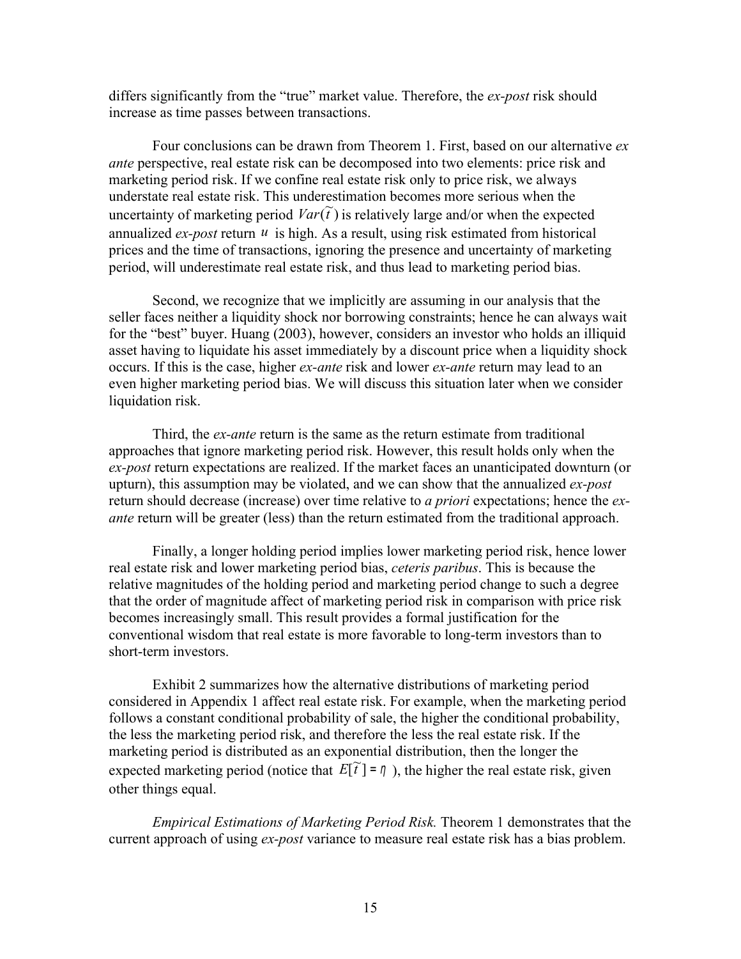differs significantly from the "true" market value. Therefore, the *ex-post* risk should increase as time passes between transactions.

Four conclusions can be drawn from Theorem 1. First, based on our alternative *ex ante* perspective, real estate risk can be decomposed into two elements: price risk and marketing period risk. If we confine real estate risk only to price risk, we always understate real estate risk. This underestimation becomes more serious when the uncertainty of marketing period  $Var(\tilde{t})$  is relatively large and/or when the expected annualized  $ex\text{-}post$  return  $u$  is high. As a result, using risk estimated from historical prices and the time of transactions, ignoring the presence and uncertainty of marketing period, will underestimate real estate risk, and thus lead to marketing period bias.

Second, we recognize that we implicitly are assuming in our analysis that the seller faces neither a liquidity shock nor borrowing constraints; hence he can always wait for the "best" buyer. Huang (2003), however, considers an investor who holds an illiquid asset having to liquidate his asset immediately by a discount price when a liquidity shock occurs. If this is the case, higher *ex-ante* risk and lower *ex-ante* return may lead to an even higher marketing period bias. We will discuss this situation later when we consider liquidation risk.

Third, the *ex-ante* return is the same as the return estimate from traditional approaches that ignore marketing period risk. However, this result holds only when the *ex-post* return expectations are realized. If the market faces an unanticipated downturn (or upturn), this assumption may be violated, and we can show that the annualized *ex-post* return should decrease (increase) over time relative to *a priori* expectations; hence the *exante* return will be greater (less) than the return estimated from the traditional approach.

Finally, a longer holding period implies lower marketing period risk, hence lower real estate risk and lower marketing period bias, *ceteris paribus*. This is because the relative magnitudes of the holding period and marketing period change to such a degree that the order of magnitude affect of marketing period risk in comparison with price risk becomes increasingly small. This result provides a formal justification for the conventional wisdom that real estate is more favorable to long-term investors than to short-term investors.

Exhibit 2 summarizes how the alternative distributions of marketing period considered in Appendix 1 affect real estate risk. For example, when the marketing period follows a constant conditional probability of sale, the higher the conditional probability, the less the marketing period risk, and therefore the less the real estate risk. If the marketing period is distributed as an exponential distribution, then the longer the expected marketing period (notice that  $E[\tilde{t}] = \eta$ ), the higher the real estate risk, given other things equal.

*Empirical Estimations of Marketing Period Risk.* Theorem 1 demonstrates that the current approach of using *ex-post* variance to measure real estate risk has a bias problem.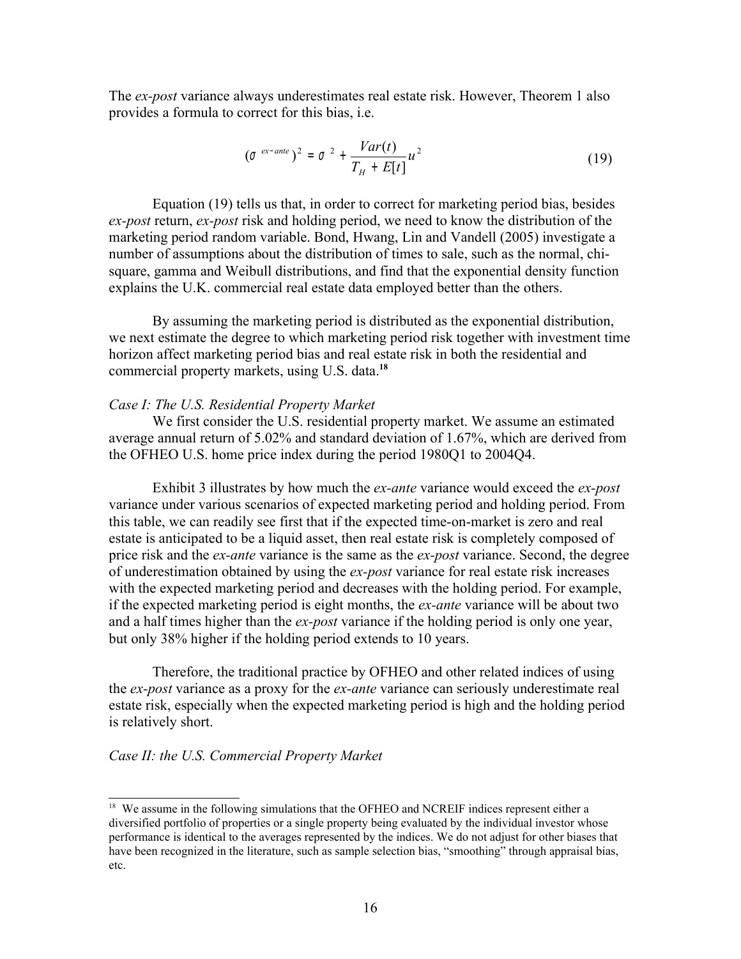The *ex-post* variance always underestimates real estate risk. However, Theorem 1 also provides a formula to correct for this bias, i.e.

$$
(\sigma^{ex-ante})^2 = \sigma^{2} + \frac{Var(t)}{T_H + E[t]}u^2
$$
\n(19)

Equation (19) tells us that, in order to correct for marketing period bias, besides *ex-post* return, *ex-post* risk and holding period, we need to know the distribution of the marketing period random variable. Bond, Hwang, Lin and Vandell (2005) investigate a number of assumptions about the distribution of times to sale, such as the normal, chisquare, gamma and Weibull distributions, and find that the exponential density function explains the U.K. commercial real estate data employed better than the others.

By assuming the marketing period is distributed as the exponential distribution, we next estimate the degree to which marketing period risk together with investment time horizon affect marketing period bias and real estate risk in both the residential and commercial property markets, using U.S. data. **[18](#page-15-0)**

#### *Case I: The U.S. Residential Property Market*

We first consider the U.S. residential property market. We assume an estimated average annual return of 5.02% and standard deviation of 1.67%, which are derived from the OFHEO U.S. home price index during the period 1980Q1 to 2004Q4.

Exhibit 3 illustrates by how much the *ex-ante* variance would exceed the *ex-post* variance under various scenarios of expected marketing period and holding period. From this table, we can readily see first that if the expected time-on-market is zero and real estate is anticipated to be a liquid asset, then real estate risk is completely composed of price risk and the *ex-ante* variance is the same as the *ex-post* variance. Second, the degree of underestimation obtained by using the *ex-post* variance for real estate risk increases with the expected marketing period and decreases with the holding period. For example, if the expected marketing period is eight months, the *ex-ante* variance will be about two and a half times higher than the *ex-post* variance if the holding period is only one year, but only 38% higher if the holding period extends to 10 years.

Therefore, the traditional practice by OFHEO and other related indices of using the *ex-post* variance as a proxy for the *ex-ante* variance can seriously underestimate real estate risk, especially when the expected marketing period is high and the holding period is relatively short.

### *Case II: the U.S. Commercial Property Market*

<span id="page-15-0"></span><sup>&</sup>lt;sup>18</sup> We assume in the following simulations that the OFHEO and NCREIF indices represent either a diversified portfolio of properties or a single property being evaluated by the individual investor whose performance is identical to the averages represented by the indices. We do not adjust for other biases that have been recognized in the literature, such as sample selection bias, "smoothing" through appraisal bias, etc.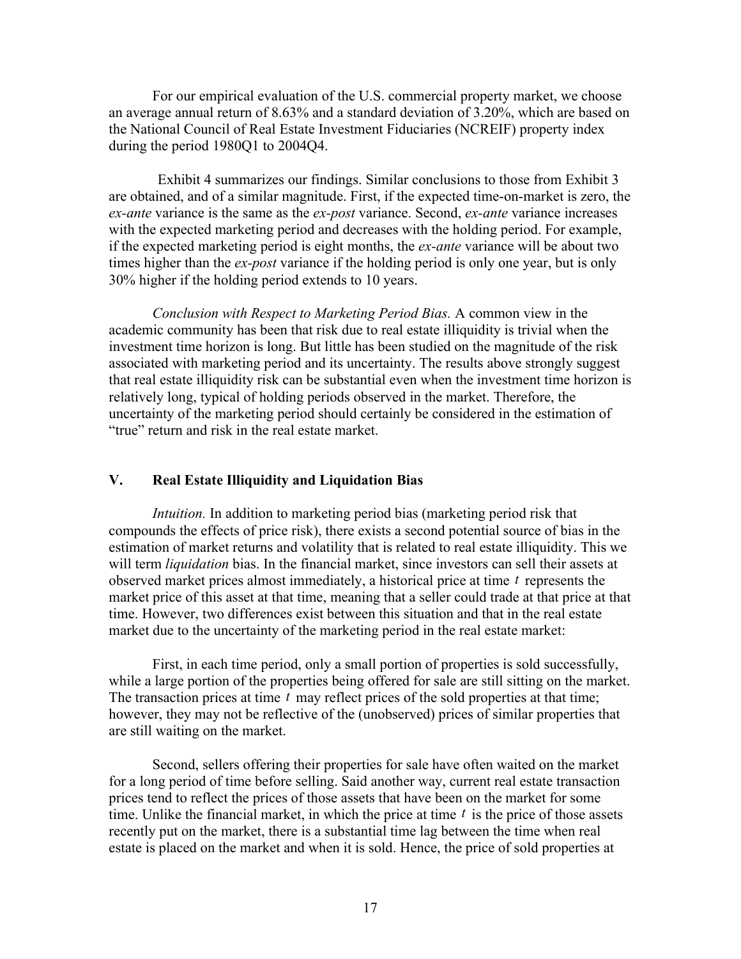For our empirical evaluation of the U.S. commercial property market, we choose an average annual return of 8.63% and a standard deviation of 3.20%, which are based on the National Council of Real Estate Investment Fiduciaries (NCREIF) property index during the period 1980Q1 to 2004Q4.

Exhibit 4 summarizes our findings. Similar conclusions to those from Exhibit 3 are obtained, and of a similar magnitude. First, if the expected time-on-market is zero, the *ex-ante* variance is the same as the *ex-post* variance. Second, *ex-ante* variance increases with the expected marketing period and decreases with the holding period. For example, if the expected marketing period is eight months, the *ex-ante* variance will be about two times higher than the *ex-post* variance if the holding period is only one year, but is only 30% higher if the holding period extends to 10 years.

*Conclusion with Respect to Marketing Period Bias.* A common view in the academic community has been that risk due to real estate illiquidity is trivial when the investment time horizon is long. But little has been studied on the magnitude of the risk associated with marketing period and its uncertainty. The results above strongly suggest that real estate illiquidity risk can be substantial even when the investment time horizon is relatively long, typical of holding periods observed in the market. Therefore, the uncertainty of the marketing period should certainly be considered in the estimation of "true" return and risk in the real estate market.

## **V. Real Estate Illiquidity and Liquidation Bias**

*Intuition.* In addition to marketing period bias (marketing period risk that compounds the effects of price risk), there exists a second potential source of bias in the estimation of market returns and volatility that is related to real estate illiquidity. This we will term *liquidation* bias. In the financial market, since investors can sell their assets at observed market prices almost immediately, a historical price at time *t* represents the market price of this asset at that time, meaning that a seller could trade at that price at that time. However, two differences exist between this situation and that in the real estate market due to the uncertainty of the marketing period in the real estate market:

First, in each time period, only a small portion of properties is sold successfully, while a large portion of the properties being offered for sale are still sitting on the market. The transaction prices at time *t* may reflect prices of the sold properties at that time; however, they may not be reflective of the (unobserved) prices of similar properties that are still waiting on the market.

Second, sellers offering their properties for sale have often waited on the market for a long period of time before selling. Said another way, current real estate transaction prices tend to reflect the prices of those assets that have been on the market for some time. Unlike the financial market, in which the price at time *t* is the price of those assets recently put on the market, there is a substantial time lag between the time when real estate is placed on the market and when it is sold. Hence, the price of sold properties at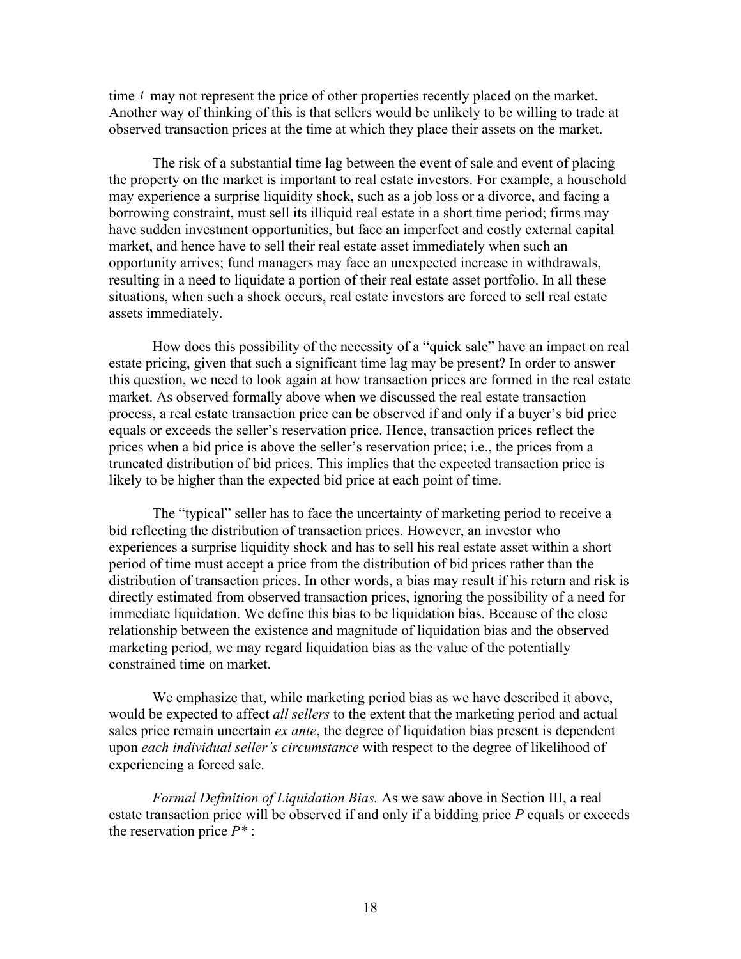time *t* may not represent the price of other properties recently placed on the market. Another way of thinking of this is that sellers would be unlikely to be willing to trade at observed transaction prices at the time at which they place their assets on the market.

The risk of a substantial time lag between the event of sale and event of placing the property on the market is important to real estate investors. For example, a household may experience a surprise liquidity shock, such as a job loss or a divorce, and facing a borrowing constraint, must sell its illiquid real estate in a short time period; firms may have sudden investment opportunities, but face an imperfect and costly external capital market, and hence have to sell their real estate asset immediately when such an opportunity arrives; fund managers may face an unexpected increase in withdrawals, resulting in a need to liquidate a portion of their real estate asset portfolio. In all these situations, when such a shock occurs, real estate investors are forced to sell real estate assets immediately.

How does this possibility of the necessity of a "quick sale" have an impact on real estate pricing, given that such a significant time lag may be present? In order to answer this question, we need to look again at how transaction prices are formed in the real estate market. As observed formally above when we discussed the real estate transaction process, a real estate transaction price can be observed if and only if a buyer's bid price equals or exceeds the seller's reservation price. Hence, transaction prices reflect the prices when a bid price is above the seller's reservation price; i.e., the prices from a truncated distribution of bid prices. This implies that the expected transaction price is likely to be higher than the expected bid price at each point of time.

The "typical" seller has to face the uncertainty of marketing period to receive a bid reflecting the distribution of transaction prices. However, an investor who experiences a surprise liquidity shock and has to sell his real estate asset within a short period of time must accept a price from the distribution of bid prices rather than the distribution of transaction prices. In other words, a bias may result if his return and risk is directly estimated from observed transaction prices, ignoring the possibility of a need for immediate liquidation. We define this bias to be liquidation bias. Because of the close relationship between the existence and magnitude of liquidation bias and the observed marketing period, we may regard liquidation bias as the value of the potentially constrained time on market.

We emphasize that, while marketing period bias as we have described it above, would be expected to affect *all sellers* to the extent that the marketing period and actual sales price remain uncertain *ex ante*, the degree of liquidation bias present is dependent upon *each individual seller's circumstance* with respect to the degree of likelihood of experiencing a forced sale.

*Formal Definition of Liquidation Bias.* As we saw above in Section III, a real estate transaction price will be observed if and only if a bidding price *P* equals or exceeds the reservation price *P\** :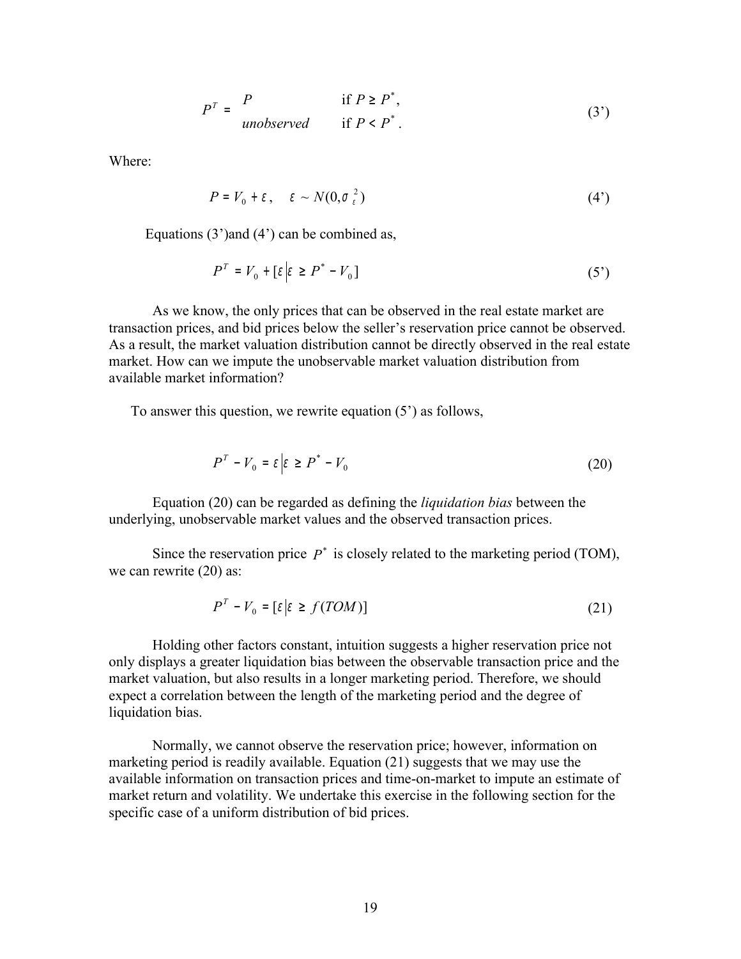$$
P^{T} = \begin{cases} P & \text{if } P \ge P^*, \\ \text{unobserved} & \text{if } P < P^*. \end{cases} \tag{3'}
$$

Where:

$$
P = V_0 + \varepsilon \,, \quad \varepsilon \sim N(0, \sigma_{\varepsilon}^2) \tag{4'}
$$

Equations (3')and (4') can be combined as,

$$
P^T = V_0 + \left[\varepsilon \middle| \varepsilon \ge P^* - V_0\right] \tag{5'}
$$

As we know, the only prices that can be observed in the real estate market are transaction prices, and bid prices below the seller's reservation price cannot be observed. As a result, the market valuation distribution cannot be directly observed in the real estate market. How can we impute the unobservable market valuation distribution from available market information?

To answer this question, we rewrite equation (5') as follows,

$$
P^T - V_0 = \varepsilon \left| \varepsilon \ge P^* - V_0 \right| \tag{20}
$$

Equation (20) can be regarded as defining the *liquidation bias* between the underlying, unobservable market values and the observed transaction prices.

Since the reservation price  $P^*$  is closely related to the marketing period (TOM), we can rewrite  $(20)$  as:

$$
P^T - V_0 = \left[ \varepsilon \middle| \varepsilon \ge f(TOM) \right] \tag{21}
$$

Holding other factors constant, intuition suggests a higher reservation price not only displays a greater liquidation bias between the observable transaction price and the market valuation, but also results in a longer marketing period. Therefore, we should expect a correlation between the length of the marketing period and the degree of liquidation bias.

Normally, we cannot observe the reservation price; however, information on marketing period is readily available. Equation (21) suggests that we may use the available information on transaction prices and time-on-market to impute an estimate of market return and volatility. We undertake this exercise in the following section for the specific case of a uniform distribution of bid prices.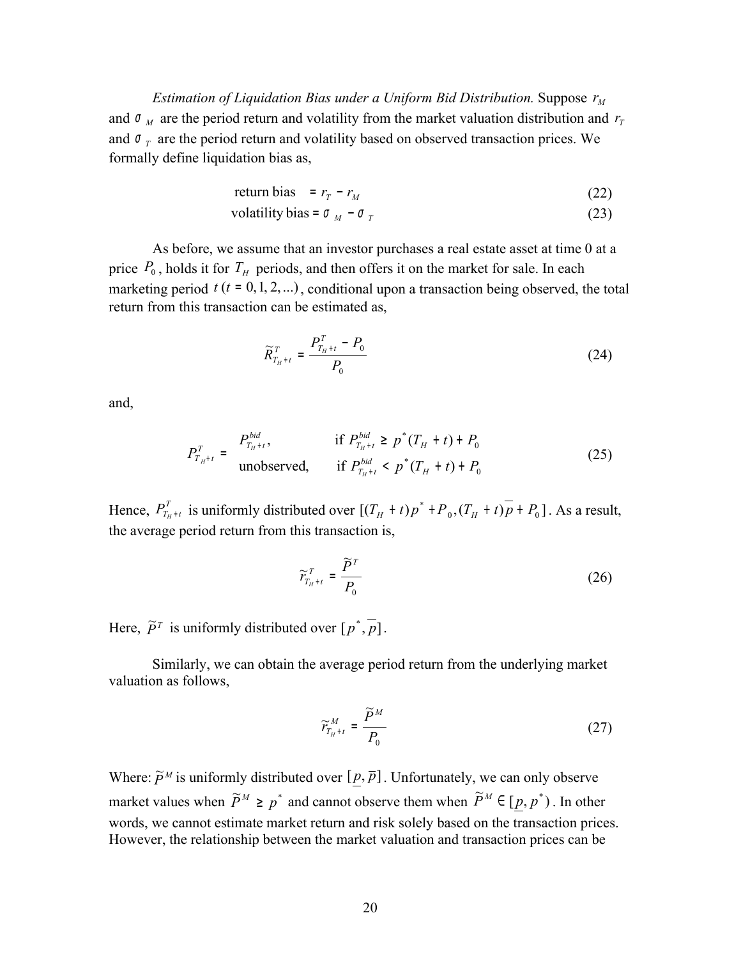*Estimation of Liquidation Bias under a Uniform Bid Distribution.* Suppose *<sup>M</sup> r* and  $\sigma$ <sub>*M*</sub> are the period return and volatility from the market valuation distribution and  $r<sub>T</sub>$ and  $\sigma_T$  are the period return and volatility based on observed transaction prices. We formally define liquidation bias as,

$$
return bias = r_T - r_M \tag{22}
$$

$$
volatility bias = \sigma_M - \sigma_T \tag{23}
$$

As before, we assume that an investor purchases a real estate asset at time 0 at a price  $P_0$ , holds it for  $T_H$  periods, and then offers it on the market for sale. In each marketing period  $t$  ( $t = 0, 1, 2, ...$ ), conditional upon a transaction being observed, the total return from this transaction can be estimated as,

$$
\widetilde{R}_{T_{H}+t}^{T} = \frac{P_{T_{H}+t}^{T} - P_{0}}{P_{0}}
$$
\n(24)

and,

$$
P_{T_{H^{+}}t}^{T} = \begin{cases} P_{T_{H^{+}}t}^{bid}, & \text{if } P_{T_{H^{+}}t}^{bid} \ge p^{*}(T_{H} + t) + P_{0} \\ \text{unobserved}, & \text{if } P_{T_{H^{+}}t}^{bid} < p^{*}(T_{H} + t) + P_{0} \end{cases}
$$
(25)

Hence,  $P_{T_{H}+t}^T$  is uniformly distributed over  $[(T_H + t)p^* + P_0, (T_H + t)\overline{p} + P_0]$  $(T_H + t)p^* + P_0$ ,  $(T_H + t)\overline{p} + P_0$ ]. As a result, the average period return from this transaction is,

$$
\widetilde{r}_{T_{H}+t}^{T} = \frac{\widetilde{P}^{T}}{P_{0}}
$$
\n(26)

Here,  $\tilde{P}^T$  is uniformly distributed over  $[p^*, \overline{p}]$ .

Similarly, we can obtain the average period return from the underlying market valuation as follows,

$$
\widetilde{r}_{T_{H}+t}^{M} = \frac{\widetilde{P}^{M}}{P_{0}}
$$
\n(27)

Where:  $\widetilde{P}^M$  is uniformly distributed over  $[\underline{p}, \overline{p}]$ . Unfortunately, we can only observe market values when  $\widetilde{P}^M \geq p^*$  and cannot observe them when  $\widetilde{P}^M \in [p, p^*)$ . In other words, we cannot estimate market return and risk solely based on the transaction prices. However, the relationship between the market valuation and transaction prices can be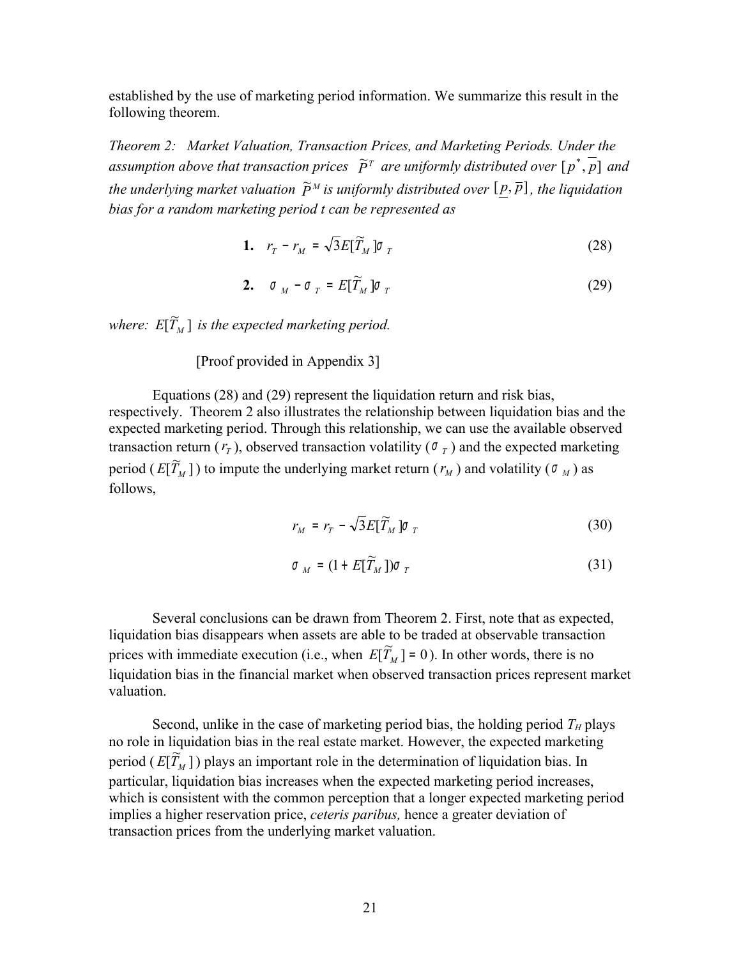established by the use of marketing period information. We summarize this result in the following theorem.

*Theorem 2: Market Valuation, Transaction Prices, and Marketing Periods. Under the* assumption above that transaction prices  $\tilde{P}^T$  are uniformly distributed over  $[p^*, p]$  and the underlying market valuation  $\widetilde{P}^M$  is uniformly distributed over  $[\underline{p},\overline{p}]$ , the liquidation *bias for a random marketing period t can be represented as*

$$
1. \quad r_T - r_M = \sqrt{3} E[\widetilde{T}_M] \sigma_T \tag{28}
$$

$$
\mathbf{2.} \quad \sigma_M - \sigma_T = E[\widetilde{T}_M] \sigma_T \tag{29}
$$

where:  $E[\widetilde{T}_{M}]$  is the expected marketing period.

[Proof provided in Appendix 3]

Equations (28) and (29) represent the liquidation return and risk bias, respectively. Theorem 2 also illustrates the relationship between liquidation bias and the expected marketing period. Through this relationship, we can use the available observed transaction return  $(r_T)$ , observed transaction volatility ( $\sigma_T$ ) and the expected marketing period ( $E[\widetilde{T}_M]$ ) to impute the underlying market return ( $r_M$ ) and volatility ( $\sigma_M$ ) as follows,

$$
r_M = r_T - \sqrt{3} E[\widetilde{T}_M] \sigma_T \tag{30}
$$

$$
\sigma_M = (1 + E[\widetilde{T}_M]) \sigma_T \tag{31}
$$

Several conclusions can be drawn from Theorem 2. First, note that as expected, liquidation bias disappears when assets are able to be traded at observable transaction prices with immediate execution (i.e., when  $E[T_M] = 0$ ). In other words, there is no liquidation bias in the financial market when observed transaction prices represent market valuation.

Second, unlike in the case of marketing period bias, the holding period  $T_H$  plays no role in liquidation bias in the real estate market. However, the expected marketing period  $(E[\widetilde{T}_M])$  plays an important role in the determination of liquidation bias. In particular, liquidation bias increases when the expected marketing period increases, which is consistent with the common perception that a longer expected marketing period implies a higher reservation price, *ceteris paribus,* hence a greater deviation of transaction prices from the underlying market valuation.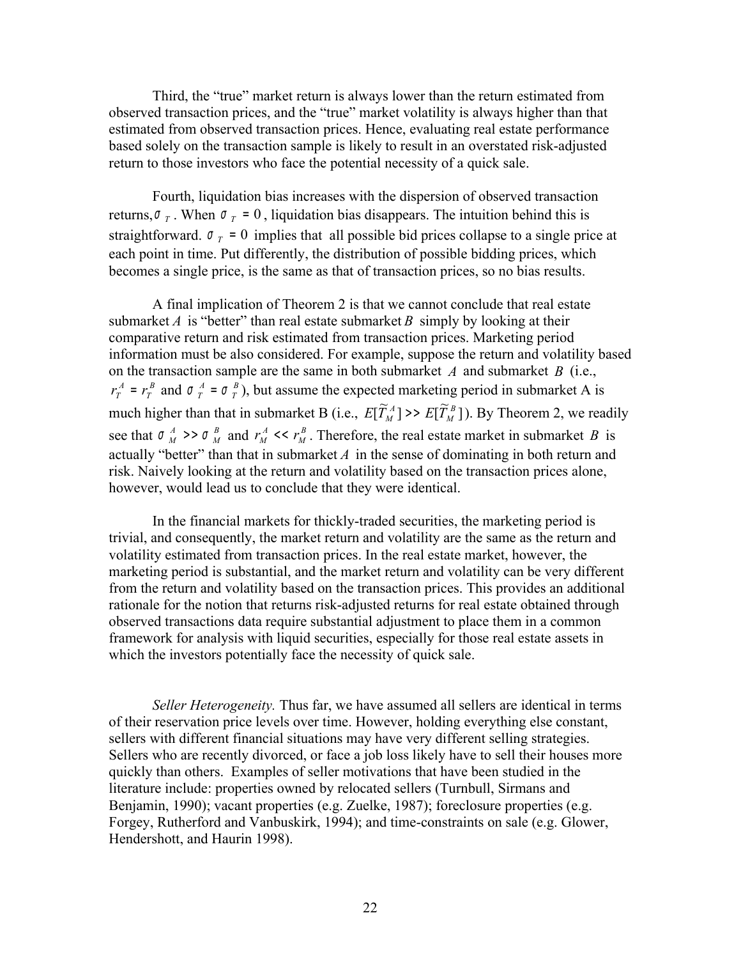Third, the "true" market return is always lower than the return estimated from observed transaction prices, and the "true" market volatility is always higher than that estimated from observed transaction prices. Hence, evaluating real estate performance based solely on the transaction sample is likely to result in an overstated risk-adjusted return to those investors who face the potential necessity of a quick sale.

Fourth, liquidation bias increases with the dispersion of observed transaction returns,  $\sigma_T$ . When  $\sigma_T = 0$ , liquidation bias disappears. The intuition behind this is straightforward.  $\sigma_T = 0$  implies that all possible bid prices collapse to a single price at each point in time. Put differently, the distribution of possible bidding prices, which becomes a single price, is the same as that of transaction prices, so no bias results.

A final implication of Theorem 2 is that we cannot conclude that real estate submarket *A* is "better" than real estate submarket *B* simply by looking at their comparative return and risk estimated from transaction prices. Marketing period information must be also considered. For example, suppose the return and volatility based on the transaction sample are the same in both submarket *A* and submarket *B* (i.e., *B T A*  $r_T^A$  =  $r_T^B$  and  $\sigma_T^A$  =  $\sigma_T^B$  $\sigma \big( \frac{A}{T} = \sigma \big( \frac{B}{T} \big)$ , but assume the expected marketing period in submarket A is much higher than that in submarket B (i.e.,  $E[\widetilde{T}_{M}^{A}] \gg E[\widetilde{T}_{M}^{B}]$  $E[\widetilde{T}_{M}^{A}] \rightarrow E[\widetilde{T}_{M}^{B}]$ ). By Theorem 2, we readily see that  $\sigma_M^A \gg \sigma_M^B$ *M*  $\sigma$ <sup>*A*</sup>  $\rightarrow$  >  $\sigma$ <sup>*B*</sup> *M* and  $r^A_M$  <<  $r^B_M$ *A*  $r_M^A \ll r_M^B$ . Therefore, the real estate market in submarket *B* is actually "better" than that in submarket  $A$  in the sense of dominating in both return and risk. Naively looking at the return and volatility based on the transaction prices alone, however, would lead us to conclude that they were identical.

In the financial markets for thickly-traded securities, the marketing period is trivial, and consequently, the market return and volatility are the same as the return and volatility estimated from transaction prices. In the real estate market, however, the marketing period is substantial, and the market return and volatility can be very different from the return and volatility based on the transaction prices. This provides an additional rationale for the notion that returns risk-adjusted returns for real estate obtained through observed transactions data require substantial adjustment to place them in a common framework for analysis with liquid securities, especially for those real estate assets in which the investors potentially face the necessity of quick sale.

*Seller Heterogeneity.* Thus far, we have assumed all sellers are identical in terms of their reservation price levels over time. However, holding everything else constant, sellers with different financial situations may have very different selling strategies. Sellers who are recently divorced, or face a job loss likely have to sell their houses more quickly than others. Examples of seller motivations that have been studied in the literature include: properties owned by relocated sellers (Turnbull, Sirmans and Beniamin, 1990); vacant properties (e.g. Zuelke, 1987); foreclosure properties (e.g. Forgey, Rutherford and Vanbuskirk, 1994); and time-constraints on sale (e.g. Glower, Hendershott, and Haurin 1998).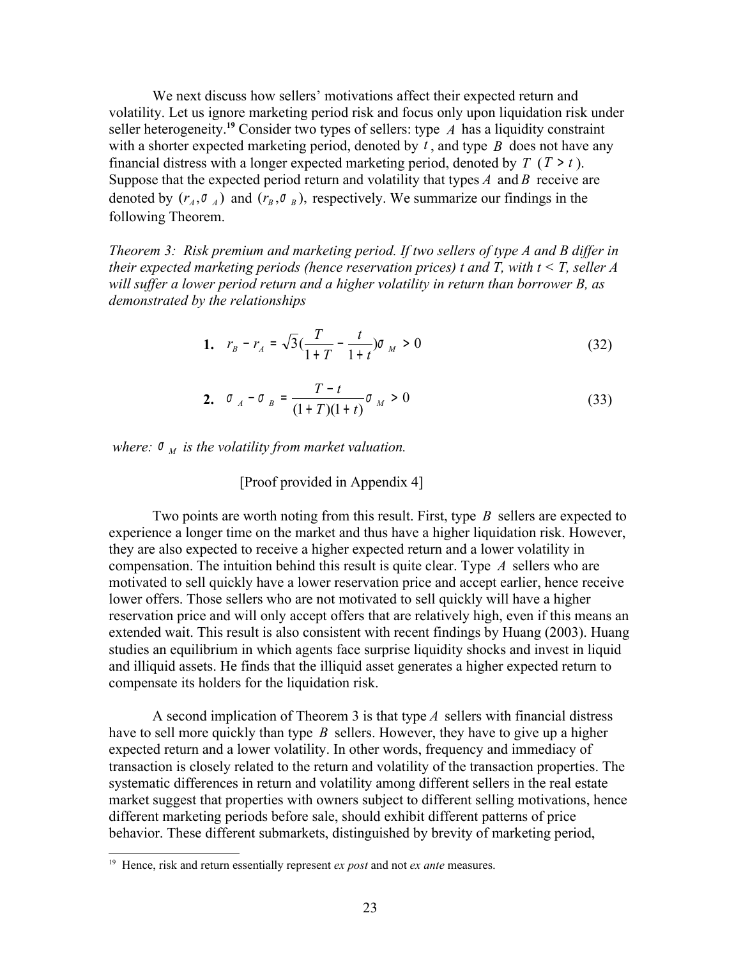We next discuss how sellers' motivations affect their expected return and volatility. Let us ignore marketing period risk and focus only upon liquidation risk under seller heterogeneity.**[19](#page-22-0)** Consider two types of sellers: type *A* has a liquidity constraint with a shorter expected marketing period, denoted by  $\vec{t}$ , and type  $\vec{B}$  does not have any financial distress with a longer expected marketing period, denoted by  $T(T > t)$ . Suppose that the expected period return and volatility that types *A* and *B* receive are denoted by  $(r_A, \sigma_A)$  and  $(r_B, \sigma_B)$ , respectively. We summarize our findings in the following Theorem.

*Theorem 3: Risk premium and marketing period. If two sellers of type A and B differ in their expected marketing periods (hence reservation prices) t and T, with t < T, seller A will suffer a lower period return and a higher volatility in return than borrower B, as demonstrated by the relationships*

1. 
$$
r_B - r_A = \sqrt{3} \left( \frac{T}{1+T} - \frac{t}{1+t} \right) \sigma_M > 0
$$
 (32)

2. 
$$
\sigma_A - \sigma_B = \frac{T - t}{(1 + T)(1 + t)} \sigma_M > 0
$$
 (33)

*where:*  $\sigma_M$  *is the volatility from market valuation.* 

## [Proof provided in Appendix 4]

Two points are worth noting from this result. First, type *B* sellers are expected to experience a longer time on the market and thus have a higher liquidation risk. However, they are also expected to receive a higher expected return and a lower volatility in compensation. The intuition behind this result is quite clear. Type *A* sellers who are motivated to sell quickly have a lower reservation price and accept earlier, hence receive lower offers. Those sellers who are not motivated to sell quickly will have a higher reservation price and will only accept offers that are relatively high, even if this means an extended wait. This result is also consistent with recent findings by Huang (2003). Huang studies an equilibrium in which agents face surprise liquidity shocks and invest in liquid and illiquid assets. He finds that the illiquid asset generates a higher expected return to compensate its holders for the liquidation risk.

A second implication of Theorem 3 is that type *A* sellers with financial distress have to sell more quickly than type *B* sellers. However, they have to give up a higher expected return and a lower volatility. In other words, frequency and immediacy of transaction is closely related to the return and volatility of the transaction properties. The systematic differences in return and volatility among different sellers in the real estate market suggest that properties with owners subject to different selling motivations, hence different marketing periods before sale, should exhibit different patterns of price behavior. These different submarkets, distinguished by brevity of marketing period,

<span id="page-22-0"></span><sup>19</sup> Hence, risk and return essentially represent *ex post* and not *ex ante* measures.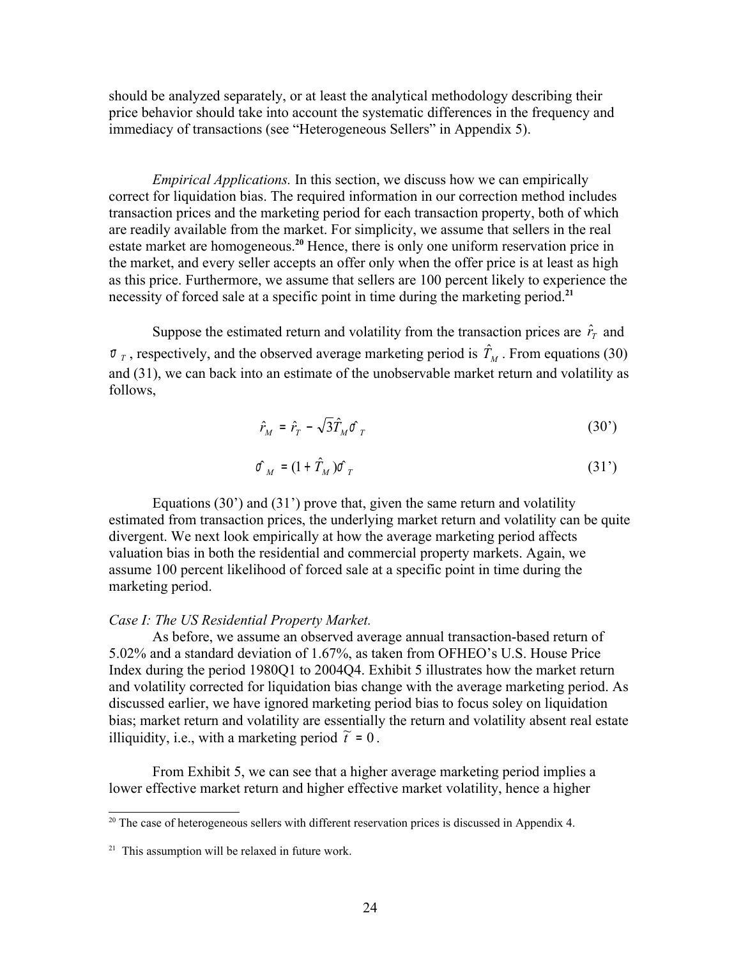should be analyzed separately, or at least the analytical methodology describing their price behavior should take into account the systematic differences in the frequency and immediacy of transactions (see "Heterogeneous Sellers" in Appendix 5).

*Empirical Applications.* In this section, we discuss how we can empirically correct for liquidation bias. The required information in our correction method includes transaction prices and the marketing period for each transaction property, both of which are readily available from the market. For simplicity, we assume that sellers in the real estate market are homogeneous.<sup>[20](#page-23-0)</sup> Hence, there is only one uniform reservation price in the market, and every seller accepts an offer only when the offer price is at least as high as this price. Furthermore, we assume that sellers are 100 percent likely to experience the necessity of forced sale at a specific point in time during the marketing period.**[21](#page-23-1)**

Suppose the estimated return and volatility from the transaction prices are  $\hat{r}_r$  and  $\sigma$ <sub>*T*</sub>, respectively, and the observed average marketing period is  $\hat{T}_M$ . From equations (30) ֦ and (31), we can back into an estimate of the unobservable market return and volatility as follows,

$$
\hat{r}_M = \hat{r}_T - \sqrt{3}\hat{T}_M \hat{\sigma}_T \tag{30'}
$$

$$
\hat{\sigma}_M = (1 + \hat{T}_M) \hat{\sigma}_T \tag{31'}
$$

Equations (30') and (31') prove that, given the same return and volatility estimated from transaction prices, the underlying market return and volatility can be quite divergent. We next look empirically at how the average marketing period affects valuation bias in both the residential and commercial property markets. Again, we assume 100 percent likelihood of forced sale at a specific point in time during the marketing period.

### *Case I: The US Residential Property Market.*

As before, we assume an observed average annual transaction-based return of 5.02% and a standard deviation of 1.67%, as taken from OFHEO's U.S. House Price Index during the period 1980Q1 to 2004Q4. Exhibit 5 illustrates how the market return and volatility corrected for liquidation bias change with the average marketing period. As discussed earlier, we have ignored marketing period bias to focus soley on liquidation bias; market return and volatility are essentially the return and volatility absent real estate illiquidity, i.e., with a marketing period  $\tilde{t} = 0$ .

From Exhibit 5, we can see that a higher average marketing period implies a lower effective market return and higher effective market volatility, hence a higher

<span id="page-23-0"></span> $20$  The case of heterogeneous sellers with different reservation prices is discussed in Appendix 4.

<span id="page-23-1"></span> $21$  This assumption will be relaxed in future work.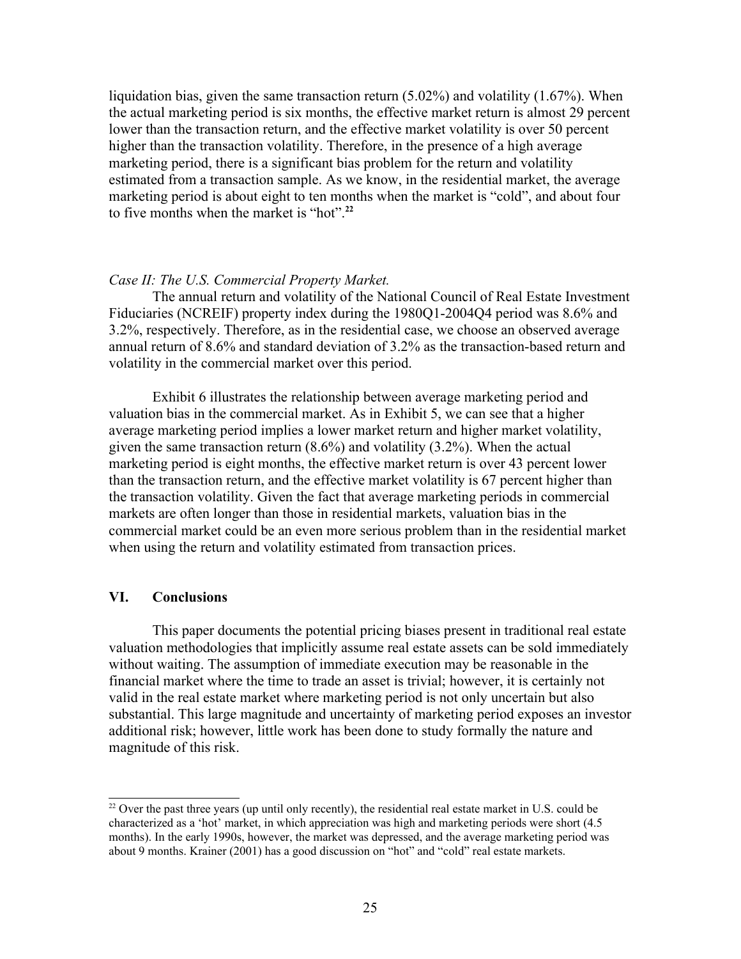liquidation bias, given the same transaction return (5.02%) and volatility (1.67%). When the actual marketing period is six months, the effective market return is almost 29 percent lower than the transaction return, and the effective market volatility is over 50 percent higher than the transaction volatility. Therefore, in the presence of a high average marketing period, there is a significant bias problem for the return and volatility estimated from a transaction sample. As we know, in the residential market, the average marketing period is about eight to ten months when the market is "cold", and about four to five months when the market is "hot". **[22](#page-24-0)**

#### *Case II: The U.S. Commercial Property Market.*

The annual return and volatility of the National Council of Real Estate Investment Fiduciaries (NCREIF) property index during the 1980Q1-2004Q4 period was 8.6% and 3.2%, respectively. Therefore, as in the residential case, we choose an observed average annual return of 8.6% and standard deviation of 3.2% as the transaction-based return and volatility in the commercial market over this period.

Exhibit 6 illustrates the relationship between average marketing period and valuation bias in the commercial market. As in Exhibit 5, we can see that a higher average marketing period implies a lower market return and higher market volatility, given the same transaction return (8.6%) and volatility (3.2%). When the actual marketing period is eight months, the effective market return is over 43 percent lower than the transaction return, and the effective market volatility is 67 percent higher than the transaction volatility. Given the fact that average marketing periods in commercial markets are often longer than those in residential markets, valuation bias in the commercial market could be an even more serious problem than in the residential market when using the return and volatility estimated from transaction prices.

## **VI. Conclusions**

This paper documents the potential pricing biases present in traditional real estate valuation methodologies that implicitly assume real estate assets can be sold immediately without waiting. The assumption of immediate execution may be reasonable in the financial market where the time to trade an asset is trivial; however, it is certainly not valid in the real estate market where marketing period is not only uncertain but also substantial. This large magnitude and uncertainty of marketing period exposes an investor additional risk; however, little work has been done to study formally the nature and magnitude of this risk.

<span id="page-24-0"></span><sup>&</sup>lt;sup>22</sup> Over the past three years (up until only recently), the residential real estate market in U.S. could be characterized as a 'hot' market, in which appreciation was high and marketing periods were short (4.5 months). In the early 1990s, however, the market was depressed, and the average marketing period was about 9 months. Krainer (2001) has a good discussion on "hot" and "cold" real estate markets.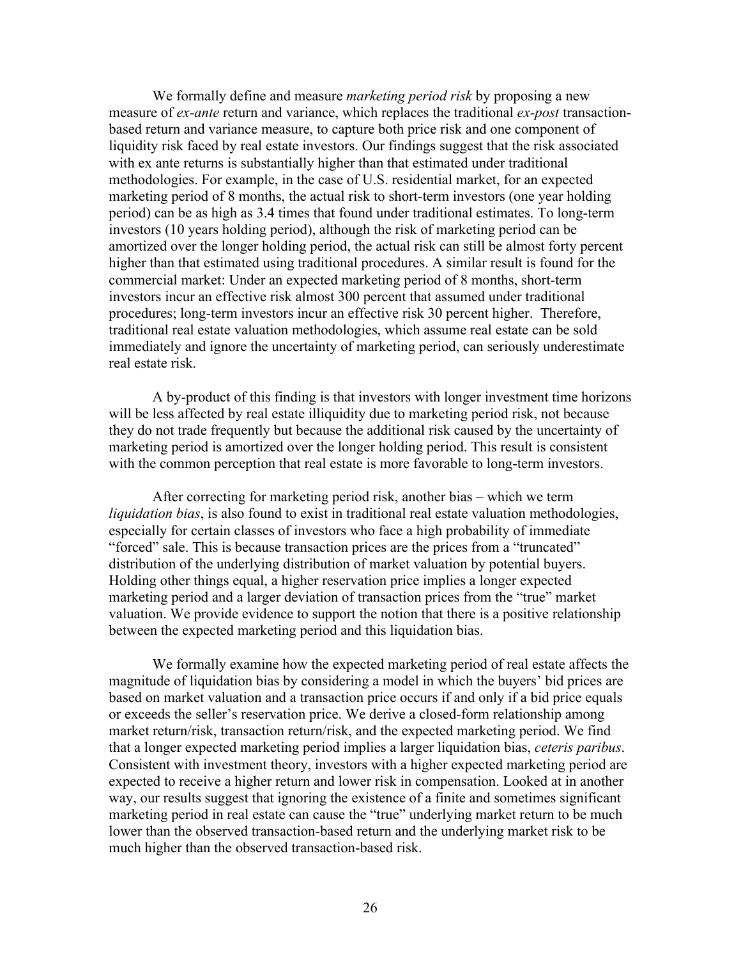We formally define and measure *marketing period risk* by proposing a new measure of *ex-ante* return and variance, which replaces the traditional *ex-post* transactionbased return and variance measure, to capture both price risk and one component of liquidity risk faced by real estate investors. Our findings suggest that the risk associated with ex ante returns is substantially higher than that estimated under traditional methodologies. For example, in the case of U.S. residential market, for an expected marketing period of 8 months, the actual risk to short-term investors (one year holding period) can be as high as 3.4 times that found under traditional estimates. To long-term investors (10 years holding period), although the risk of marketing period can be amortized over the longer holding period, the actual risk can still be almost forty percent higher than that estimated using traditional procedures. A similar result is found for the commercial market: Under an expected marketing period of 8 months, short-term investors incur an effective risk almost 300 percent that assumed under traditional procedures; long-term investors incur an effective risk 30 percent higher. Therefore, traditional real estate valuation methodologies, which assume real estate can be sold immediately and ignore the uncertainty of marketing period, can seriously underestimate real estate risk.

A by-product of this finding is that investors with longer investment time horizons will be less affected by real estate illiquidity due to marketing period risk, not because they do not trade frequently but because the additional risk caused by the uncertainty of marketing period is amortized over the longer holding period. This result is consistent with the common perception that real estate is more favorable to long-term investors.

After correcting for marketing period risk, another bias – which we term *liquidation bias*, is also found to exist in traditional real estate valuation methodologies, especially for certain classes of investors who face a high probability of immediate "forced" sale. This is because transaction prices are the prices from a "truncated" distribution of the underlying distribution of market valuation by potential buyers. Holding other things equal, a higher reservation price implies a longer expected marketing period and a larger deviation of transaction prices from the "true" market valuation. We provide evidence to support the notion that there is a positive relationship between the expected marketing period and this liquidation bias.

We formally examine how the expected marketing period of real estate affects the magnitude of liquidation bias by considering a model in which the buyers' bid prices are based on market valuation and a transaction price occurs if and only if a bid price equals or exceeds the seller's reservation price. We derive a closed-form relationship among market return/risk, transaction return/risk, and the expected marketing period. We find that a longer expected marketing period implies a larger liquidation bias, *ceteris paribus*. Consistent with investment theory, investors with a higher expected marketing period are expected to receive a higher return and lower risk in compensation. Looked at in another way, our results suggest that ignoring the existence of a finite and sometimes significant marketing period in real estate can cause the "true" underlying market return to be much lower than the observed transaction-based return and the underlying market risk to be much higher than the observed transaction-based risk.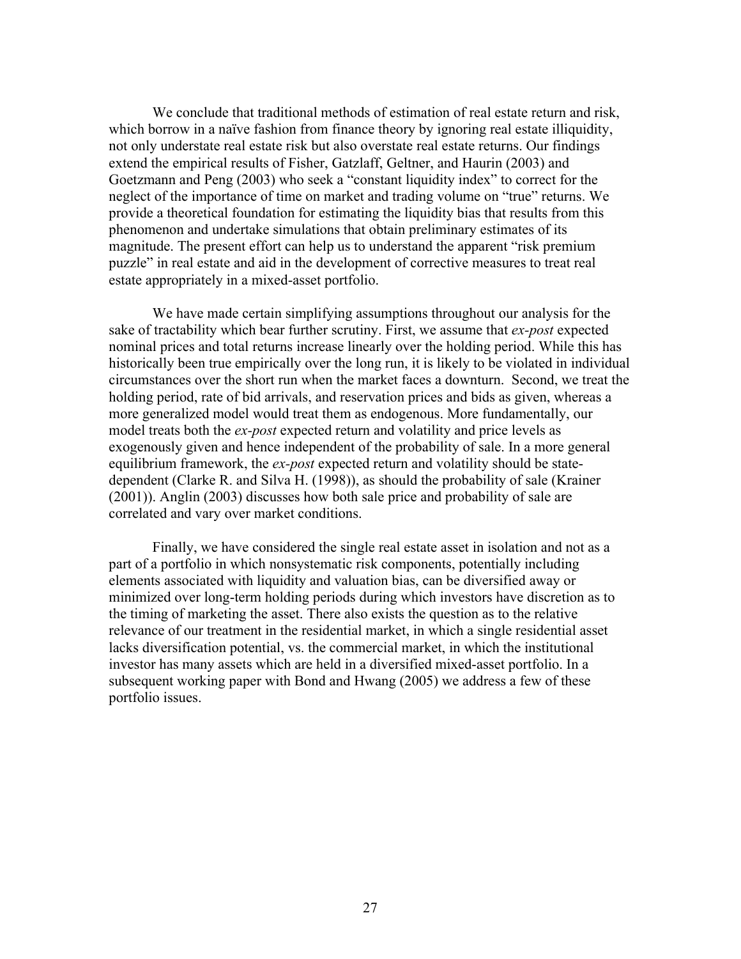We conclude that traditional methods of estimation of real estate return and risk, which borrow in a naïve fashion from finance theory by ignoring real estate illiquidity, not only understate real estate risk but also overstate real estate returns. Our findings extend the empirical results of Fisher, Gatzlaff, Geltner, and Haurin (2003) and Goetzmann and Peng (2003) who seek a "constant liquidity index" to correct for the neglect of the importance of time on market and trading volume on "true" returns. We provide a theoretical foundation for estimating the liquidity bias that results from this phenomenon and undertake simulations that obtain preliminary estimates of its magnitude. The present effort can help us to understand the apparent "risk premium puzzle" in real estate and aid in the development of corrective measures to treat real estate appropriately in a mixed-asset portfolio.

We have made certain simplifying assumptions throughout our analysis for the sake of tractability which bear further scrutiny. First, we assume that *ex-post* expected nominal prices and total returns increase linearly over the holding period. While this has historically been true empirically over the long run, it is likely to be violated in individual circumstances over the short run when the market faces a downturn. Second, we treat the holding period, rate of bid arrivals, and reservation prices and bids as given, whereas a more generalized model would treat them as endogenous. More fundamentally, our model treats both the *ex-post* expected return and volatility and price levels as exogenously given and hence independent of the probability of sale. In a more general equilibrium framework, the *ex-post* expected return and volatility should be statedependent (Clarke R. and Silva H. (1998)), as should the probability of sale (Krainer (2001)). Anglin (2003) discusses how both sale price and probability of sale are correlated and vary over market conditions.

Finally, we have considered the single real estate asset in isolation and not as a part of a portfolio in which nonsystematic risk components, potentially including elements associated with liquidity and valuation bias, can be diversified away or minimized over long-term holding periods during which investors have discretion as to the timing of marketing the asset. There also exists the question as to the relative relevance of our treatment in the residential market, in which a single residential asset lacks diversification potential, vs. the commercial market, in which the institutional investor has many assets which are held in a diversified mixed-asset portfolio. In a subsequent working paper with Bond and Hwang (2005) we address a few of these portfolio issues.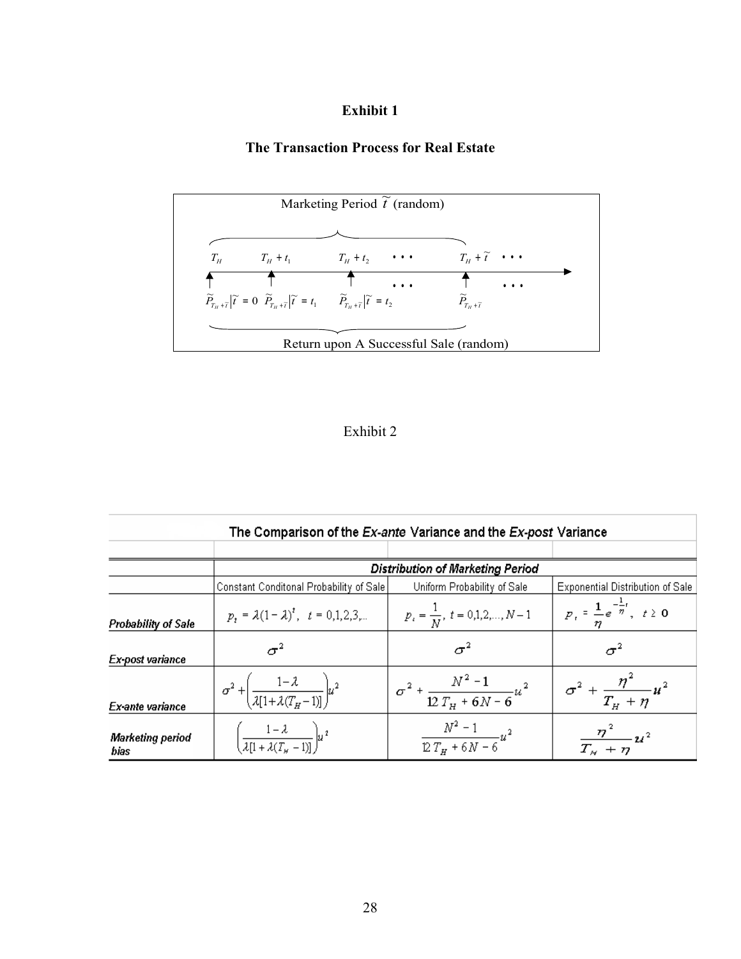# **The Transaction Process for Real Estate**



## Exhibit 2

| The Comparison of the Ex-ante Variance and the Ex-post Variance |                                                                                         |                                                            |                                                           |  |  |
|-----------------------------------------------------------------|-----------------------------------------------------------------------------------------|------------------------------------------------------------|-----------------------------------------------------------|--|--|
|                                                                 |                                                                                         |                                                            |                                                           |  |  |
|                                                                 | <b>Distribution of Marketing Period</b>                                                 |                                                            |                                                           |  |  |
|                                                                 | Constant Conditonal Probability of Sale                                                 | Uniform Probability of Sale                                | <b>Exponential Distribution of Sale</b>                   |  |  |
| Probability of Sale                                             | $p_t = \lambda (1 - \lambda)^t$ , $t = 0,1,2,3,$ $p_t = \frac{1}{N}$ , $t = 0,1,2,,N-1$ |                                                            | $\mid P_t = \frac{1}{n} e^{-\frac{1}{n}t}, \quad t \ge 0$ |  |  |
| Ex-post variance                                                |                                                                                         |                                                            | $\sigma^2$                                                |  |  |
| Ex-ante variance                                                | $\sigma^2 + \left(\frac{1-\lambda}{\lambda[1+\lambda(T_H-1)]}\right)u^2$                | $\frac{1}{\sigma^2 + \frac{N^2 - 1}{12 T_H + 6N - 6} u^2}$ | $\sigma^2 + \frac{\eta^2}{T_H + \eta} u^2$                |  |  |
| <b>Marketing period</b><br>bias                                 | $\left[\frac{1-\lambda}{\lambda[1+\lambda(T_{\kappa}-1)]}\right]u^2$                    | $\frac{N^2-1}{12 T_H+6N-6} u^2$                            | $\frac{\eta^2}{T_H + \eta} u^2$                           |  |  |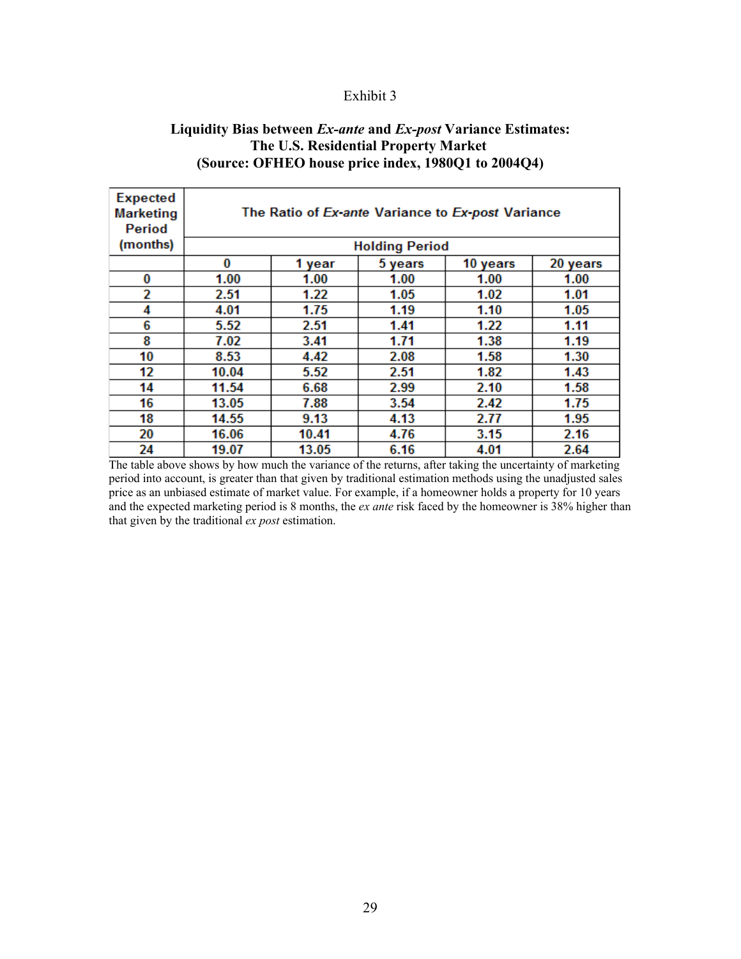## **Liquidity Bias between** *Ex-ante* **and** *Ex-post* **Variance Estimates: The U.S. Residential Property Market (Source: OFHEO house price index, 1980Q1 to 2004Q4)**

| <b>Expected</b><br><b>Marketing</b><br>Period | The Ratio of Ex-ante Variance to Ex-post Variance |        |         |          |          |
|-----------------------------------------------|---------------------------------------------------|--------|---------|----------|----------|
| (months)                                      | <b>Holding Period</b>                             |        |         |          |          |
|                                               | 0                                                 | 1 year | 5 years | 10 years | 20 years |
| 0                                             | 1.00                                              | 1.00   | 1.00    | 1.00     | 1.00     |
| 2                                             | 2.51                                              | 1.22   | 1.05    | 1.02     | 1.01     |
| 4                                             | 4.01                                              | 1.75   | 1.19    | 1.10     | 1.05     |
| 6                                             | 5.52                                              | 2.51   | 1.41    | 1.22     | 1.11     |
| 8                                             | 7.02                                              | 3.41   | 1.71    | 1.38     | 1.19     |
| 10                                            | 8.53                                              | 4.42   | 2.08    | 1.58     | 1.30     |
| 12                                            | 10.04                                             | 5.52   | 2.51    | 1.82     | 1.43     |
| 14                                            | 11.54                                             | 6.68   | 2.99    | 2.10     | 1.58     |
| 16                                            | 13.05                                             | 7.88   | 3.54    | 2.42     | 1.75     |
| 18                                            | 14.55                                             | 9.13   | 4.13    | 2.77     | 1.95     |
| 20                                            | 16.06                                             | 10.41  | 4.76    | 3.15     | 2.16     |
| 24                                            | 19.07                                             | 13.05  | 6.16    | 4.01     | 2.64     |

The table above shows by how much the variance of the returns, after taking the uncertainty of marketing period into account, is greater than that given by traditional estimation methods using the unadjusted sales price as an unbiased estimate of market value. For example, if a homeowner holds a property for 10 years and the expected marketing period is 8 months, the *ex ante* risk faced by the homeowner is 38% higher than that given by the traditional *ex post* estimation.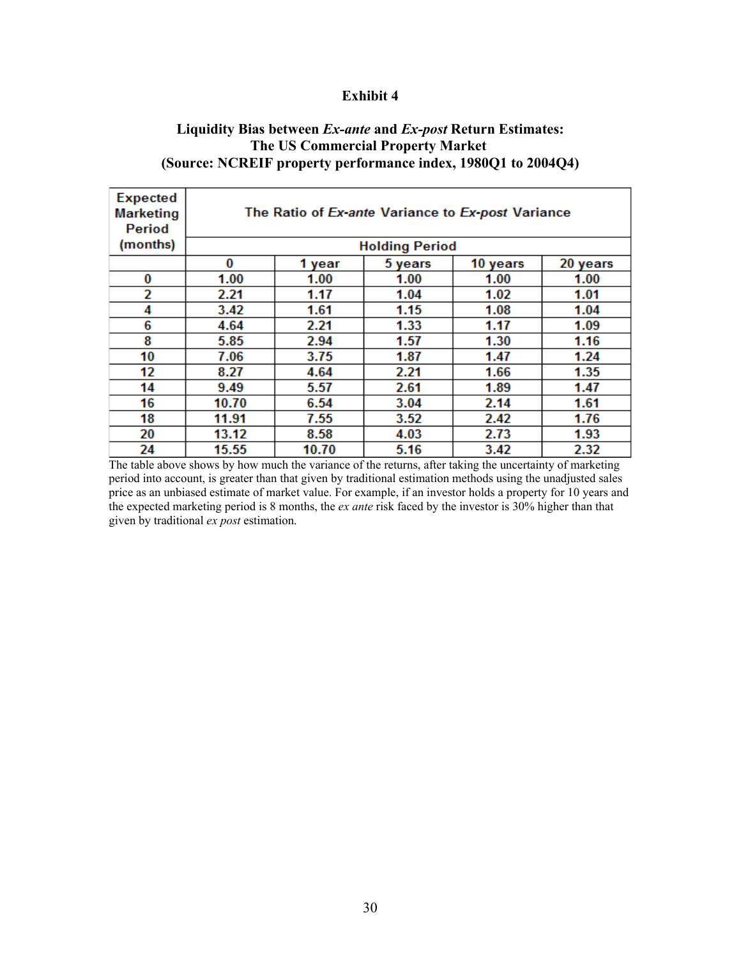## **Liquidity Bias between** *Ex-ante* **and** *Ex-post* **Return Estimates: The US Commercial Property Market (Source: NCREIF property performance index, 1980Q1 to 2004Q4)**

| <b>Expected</b><br><b>Marketing</b><br>Period | The Ratio of Ex-ante Variance to Ex-post Variance |        |         |          |          |
|-----------------------------------------------|---------------------------------------------------|--------|---------|----------|----------|
| (months)                                      | <b>Holding Period</b>                             |        |         |          |          |
|                                               | 0                                                 | 1 year | 5 years | 10 years | 20 years |
| 0                                             | 1.00                                              | 1.00   | 1.00    | 1.00     | 1.00     |
| 2                                             | 2.21                                              | 1.17   | 1.04    | 1.02     | 1.01     |
| 4                                             | 3.42                                              | 1.61   | 1.15    | 1.08     | 1.04     |
| 6                                             | 4.64                                              | 2.21   | 1.33    | 1.17     | 1.09     |
| 8                                             | 5.85                                              | 2.94   | 1.57    | 1.30     | 1.16     |
| 10                                            | 7.06                                              | 3.75   | 1.87    | 1.47     | 1.24     |
| 12                                            | 8.27                                              | 4.64   | 2.21    | 1.66     | 1.35     |
| 14                                            | 9.49                                              | 5.57   | 2.61    | 1.89     | 1.47     |
| 16                                            | 10.70                                             | 6.54   | 3.04    | 2.14     | 1.61     |
| 18                                            | 11.91                                             | 7.55   | 3.52    | 2.42     | 1.76     |
| 20                                            | 13.12                                             | 8.58   | 4.03    | 2.73     | 1.93     |
| 24                                            | 15.55                                             | 10.70  | 5.16    | 3.42     | 2.32     |

The table above shows by how much the variance of the returns, after taking the uncertainty of marketing period into account, is greater than that given by traditional estimation methods using the unadjusted sales price as an unbiased estimate of market value. For example, if an investor holds a property for 10 years and the expected marketing period is 8 months, the *ex ante* risk faced by the investor is 30% higher than that given by traditional *ex post* estimation.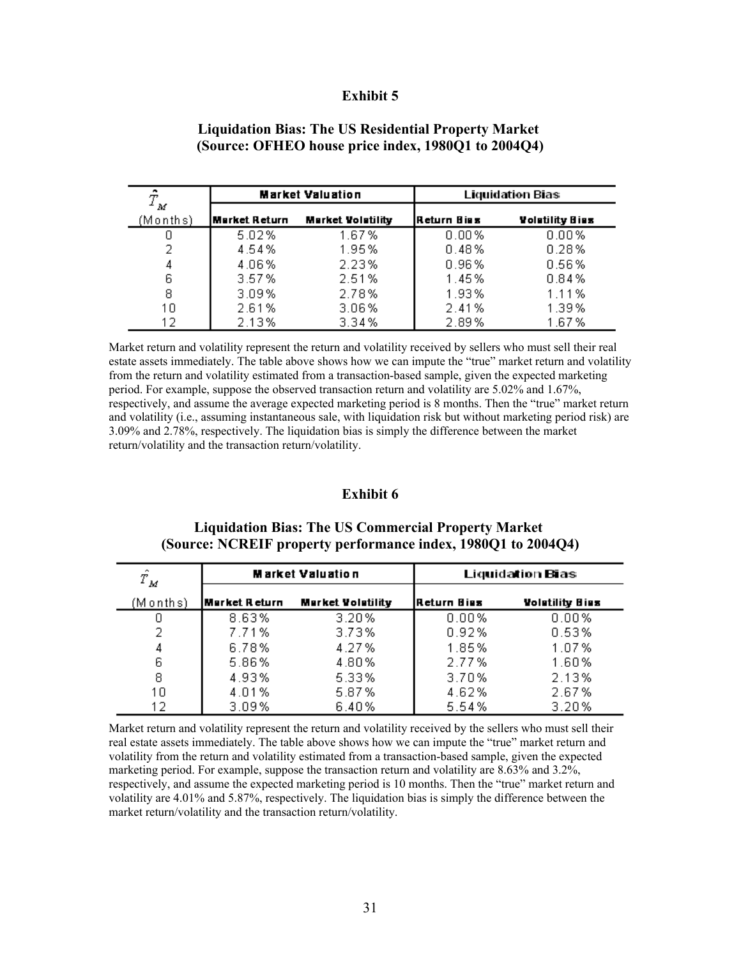| ٠<br>Т        | <b>Market Valuation</b> |                          | <b>Liquidation Bias</b> |                        |  |
|---------------|-------------------------|--------------------------|-------------------------|------------------------|--|
| M<br>(Months) | Market Return           | <b>Market Volatility</b> | IReturn Biss            | <b>Volatility Bias</b> |  |
|               | 5.02%                   | 1.67%                    | 0.00%                   | 0.00%                  |  |
| 2             | 4.54%                   | 1.95%                    | 0.48%                   | 0.28%                  |  |
| 4             | 4.06%                   | 2.23%                    | 0.96%                   | 0.56%                  |  |
| 6             | 3.57%                   | 2.51%                    | 1.45%                   | 0.84%                  |  |
| 8             | 3.09%                   | 2.78%                    | 1.93%                   | 1.11%                  |  |
| 10            | 2.61%                   | 3.06%                    | 2.41%                   | 1.39%                  |  |
| 12            | 2.13%                   | 3.34%                    | 2.89%                   | 1.67%                  |  |

### **Liquidation Bias: The US Residential Property Market (Source: OFHEO house price index, 1980Q1 to 2004Q4)**

Market return and volatility represent the return and volatility received by sellers who must sell their real estate assets immediately. The table above shows how we can impute the "true" market return and volatility from the return and volatility estimated from a transaction-based sample, given the expected marketing period. For example, suppose the observed transaction return and volatility are 5.02% and 1.67%, respectively, and assume the average expected marketing period is 8 months. Then the "true" market return and volatility (i.e., assuming instantaneous sale, with liquidation risk but without marketing period risk) are 3.09% and 2.78%, respectively. The liquidation bias is simply the difference between the market return/volatility and the transaction return/volatility.

### **Exhibit 6**

## **Liquidation Bias: The US Commercial Property Market (Source: NCREIF property performance index, 1980Q1 to 2004Q4)**

| $\hat{T}_{M}$ | <b>Market Valuation</b> |                          | <b>Liquidation Bias</b> |                        |  |
|---------------|-------------------------|--------------------------|-------------------------|------------------------|--|
| (Months)      | Market Return           | <b>Market Volatility</b> | Return Biss             | <b>Volutility Bius</b> |  |
|               | 8.63%                   | 3.20%                    | 0.00%                   | 0.00%                  |  |
| 2             | 7.71%                   | 3.73%                    | 0.92%                   | 0.53%                  |  |
| 4             | 6.78%                   | 4.27%                    | 1.85%                   | 1.07%                  |  |
| 6             | 5.86%                   | 4.80%                    | 2.77%                   | 1.60%                  |  |
| 8             | 4.93%                   | 5.33%                    | 3.70%                   | 2.13%                  |  |
| 10            | 4.01%                   | 5.87%                    | 4.62%                   | 2.67%                  |  |
| 12            | 3.09%                   | 6.40%                    | 5.54%                   | 3.20%                  |  |

Market return and volatility represent the return and volatility received by the sellers who must sell their real estate assets immediately. The table above shows how we can impute the "true" market return and volatility from the return and volatility estimated from a transaction-based sample, given the expected marketing period. For example, suppose the transaction return and volatility are 8.63% and 3.2%, respectively, and assume the expected marketing period is 10 months. Then the "true" market return and volatility are 4.01% and 5.87%, respectively. The liquidation bias is simply the difference between the market return/volatility and the transaction return/volatility.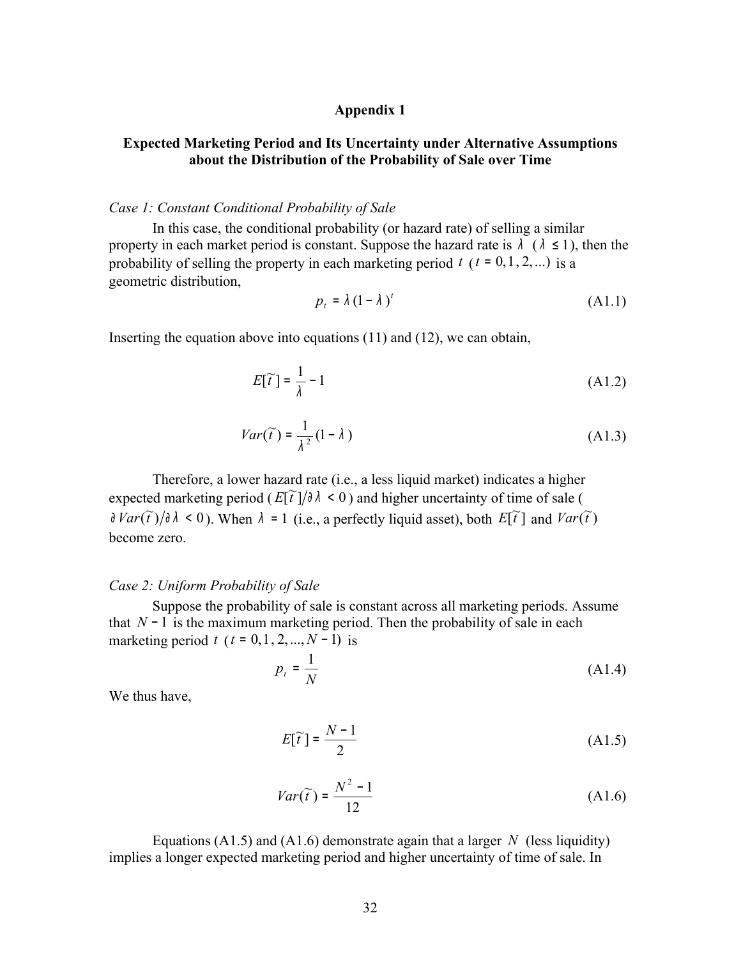### **Appendix 1**

## **Expected Marketing Period and Its Uncertainty under Alternative Assumptions about the Distribution of the Probability of Sale over Time**

#### *Case 1: Constant Conditional Probability of Sale*

In this case, the conditional probability (or hazard rate) of selling a similar property in each market period is constant. Suppose the hazard rate is  $\lambda$  ( $\lambda \leq 1$ ), then the probability of selling the property in each marketing period  $t$  ( $t = 0, 1, 2, ...$ ) is a geometric distribution,

$$
p_t = \lambda (1 - \lambda)^t \tag{A1.1}
$$

Inserting the equation above into equations (11) and (12), we can obtain,

$$
E[\widetilde{t}] = \frac{1}{\lambda} - 1\tag{A1.2}
$$

$$
Var(\widetilde{t}) = \frac{1}{\lambda^2} (1 - \lambda)
$$
 (A1.3)

Therefore, a lower hazard rate (i.e., a less liquid market) indicates a higher expected marketing period ( $E[\tilde{t}]/\partial \lambda < 0$ ) and higher uncertainty of time of sale (  $\frac{d}{dt}Var(\tilde{t})/\partial \lambda < 0$ ). When  $\lambda = 1$  (i.e., a perfectly liquid asset), both  $E[\tilde{t}]$  and  $Var(\tilde{t})$ become zero.

#### *Case 2: Uniform Probability of Sale*

Suppose the probability of sale is constant across all marketing periods. Assume that *N* <sup>−</sup> 1 is the maximum marketing period. Then the probability of sale in each marketing period *t* ( $t = 0, 1, 2, ..., N - 1$ ) is

$$
p_t = \frac{1}{N} \tag{A1.4}
$$

We thus have,

$$
E[\tilde{t}] = \frac{N-1}{2} \tag{A1.5}
$$

$$
Var(\widetilde{t}) = \frac{N^2 - 1}{12} \tag{A1.6}
$$

Equations (A1.5) and (A1.6) demonstrate again that a larger *N* (less liquidity) implies a longer expected marketing period and higher uncertainty of time of sale. In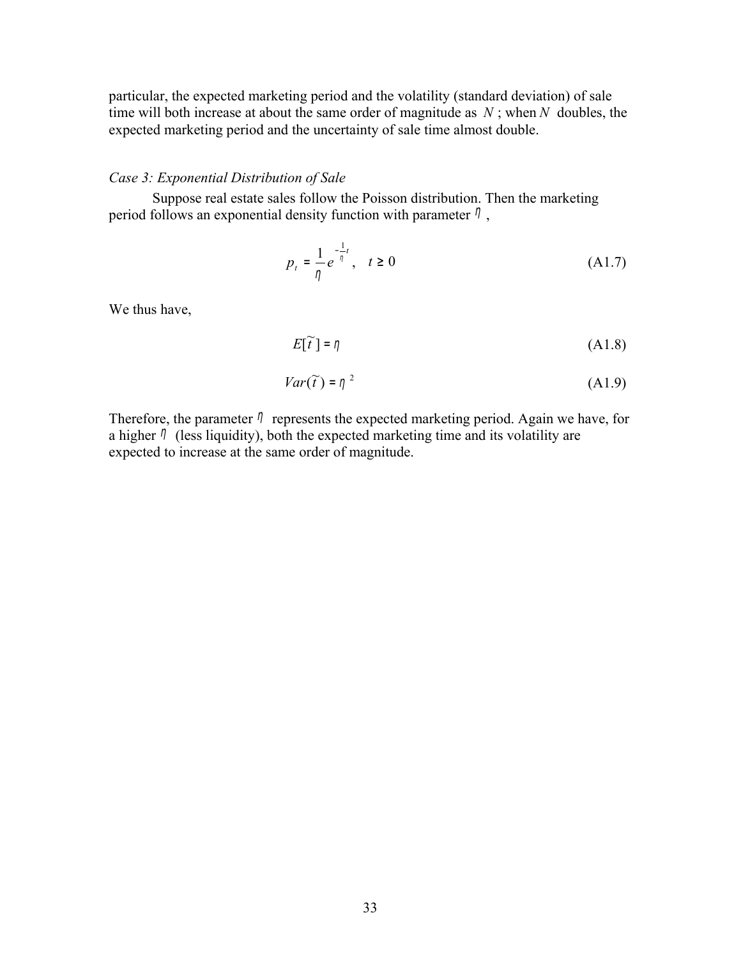particular, the expected marketing period and the volatility (standard deviation) of sale time will both increase at about the same order of magnitude as *N* ; when *N* doubles, the expected marketing period and the uncertainty of sale time almost double.

### *Case 3: Exponential Distribution of Sale*

Suppose real estate sales follow the Poisson distribution. Then the marketing period follows an exponential density function with parameter  $\eta$ ,

$$
p_{t} = \frac{1}{\eta} e^{-\frac{1}{\eta}t}, \quad t \ge 0
$$
 (A1.7)

We thus have,

$$
E[\tilde{t}] = \eta \tag{A1.8}
$$

$$
Var(\widetilde{t}) = \eta^2 \tag{A1.9}
$$

Therefore, the parameter  $\eta$  represents the expected marketing period. Again we have, for a higher  $\eta$  (less liquidity), both the expected marketing time and its volatility are expected to increase at the same order of magnitude.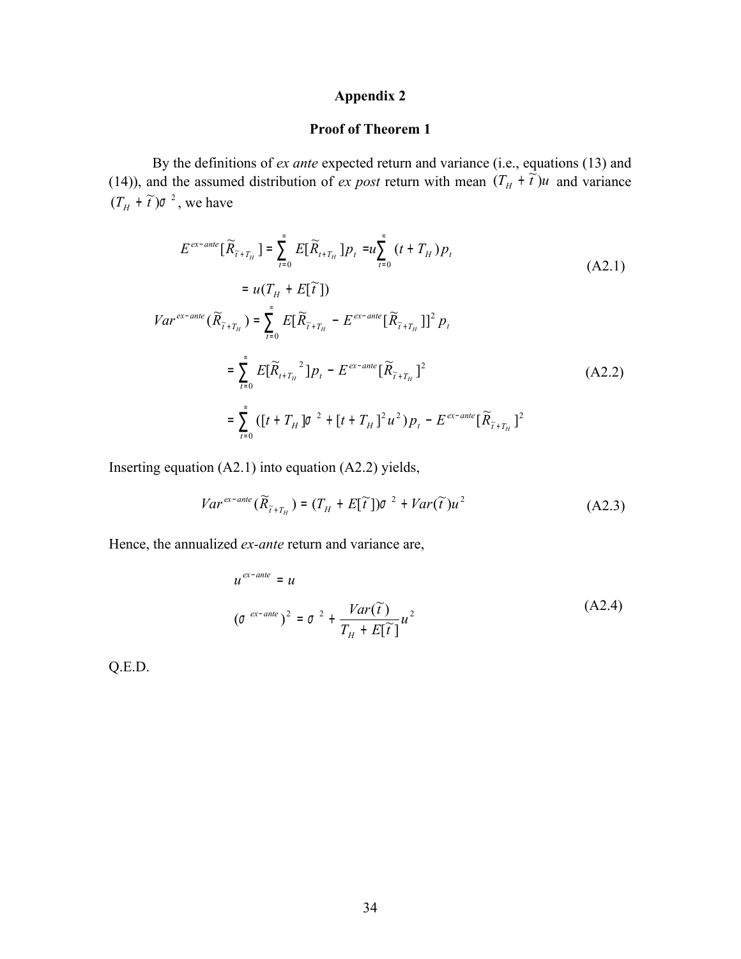# **Appendix 2**

## **Proof of Theorem 1**

By the definitions of *ex ante* expected return and variance (i.e., equations (13) and (14)), and the assumed distribution of *ex post* return with mean  $(T_H + \tilde{t})u$  and variance  $(T_H + \tilde{t})\sigma^2$ , we have

$$
E^{ex-ante}[\widetilde{R}_{\widetilde{t}+T_H}] = \sum_{t=0}^{\infty} E[\widetilde{R}_{t+T_H}] p_t = u \sum_{t=0}^{\infty} (t + T_H) p_t
$$
\n
$$
= u(T_H + E[\widetilde{t}])
$$
\n
$$
Var^{ex-ante}(\widetilde{R}_{\widetilde{t}+T_H}) = \sum_{t=0}^{\infty} E[\widetilde{R}_{\widetilde{t}+T_H} - E^{ex-ante}[\widetilde{R}_{\widetilde{t}+T_H}]]^2 p_t
$$
\n
$$
= \sum_{t=0}^{\infty} E[\widetilde{R}_{t+T_H}^2] p_t - E^{ex-ante}[\widetilde{R}_{\widetilde{t}+T_H}]^2
$$
\n
$$
= \sum_{t=0}^{\infty} ([t + T_H] \sigma^2 + [t + T_H]^2 u^2) p_t - E^{ex-ante}[\widetilde{R}_{\widetilde{t}+T_H}]^2
$$
\n(A2.2)

Inserting equation (A2.1) into equation (A2.2) yields,

$$
Var^{ex-ante}(\widetilde{R}_{\widetilde{t}+T_H}) = (T_H + E[\widetilde{t}])\sigma^2 + Var(\widetilde{t})u^2
$$
\n(A2.3)

Hence, the annualized *ex-ante* return and variance are,

$$
u^{ex-ante} = u
$$
  
\n
$$
(\sigma^{ex-ante})^2 = \sigma^2 + \frac{Var(\tilde{t})}{T_H + E[\tilde{t}]}u^2
$$
\n(A2.4)

Q.E.D.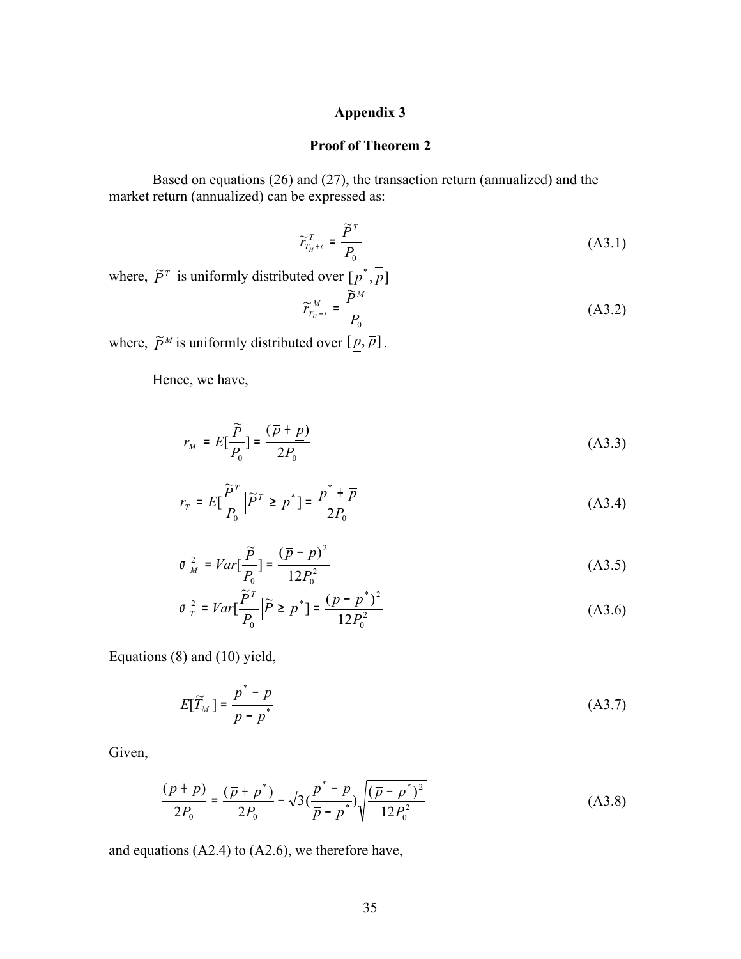## **Appendix 3**

### **Proof of Theorem 2**

Based on equations (26) and (27), the transaction return (annualized) and the market return (annualized) can be expressed as:

$$
\widetilde{r}_{T_{H}+t}^{T} = \frac{\widetilde{P}^{T}}{P_{0}}
$$
\n(A3.1)

where,  $\overline{p}^T$  is uniformly distributed over  $[p^*, \overline{p}]$ 

$$
\widetilde{r}_{T_{H^{+t}}}^{M} = \frac{\widetilde{P}^{M}}{P_0}
$$
\n(A3.2)

where,  $\tilde{P}^M$  is uniformly distributed over  $[\underline{p}, \overline{p}]$ .

Hence, we have,

$$
r_M = E\left[\frac{\widetilde{P}}{P_0}\right] = \frac{(\overline{p} + \underline{p})}{2P_0} \tag{A3.3}
$$

$$
r_T = E\left[\frac{\widetilde{P}^T}{P_0}\middle|\widetilde{P}^T \ge p^*\right] = \frac{p^* + \overline{p}}{2P_0}
$$
\n(A3.4)

$$
\sigma_M^2 = Var[\frac{\tilde{P}}{P_0}] = \frac{(\bar{p} - p)^2}{12P_0^2}
$$
 (A3.5)

$$
\sigma_{T}^{2} = Var[\frac{\tilde{P}^{T}}{P_{0}} | \tilde{P} \ge p^{*}] = \frac{(\bar{p} - p^{*})^{2}}{12P_{0}^{2}}
$$
(A3.6)

Equations (8) and (10) yield,

$$
E[\widetilde{T}_M] = \frac{p^* - p}{\overline{p} - p^*} \tag{A3.7}
$$

Given,

$$
\frac{(\bar{p} + \underline{p})}{2P_0} = \frac{(\bar{p} + p^*)}{2P_0} - \sqrt{3} \left(\frac{p^* - \underline{p}}{\bar{p} - p^*}\right) \sqrt{\frac{(\bar{p} - p^*)^2}{12P_0^2}}
$$
(A3.8)

and equations (A2.4) to (A2.6), we therefore have,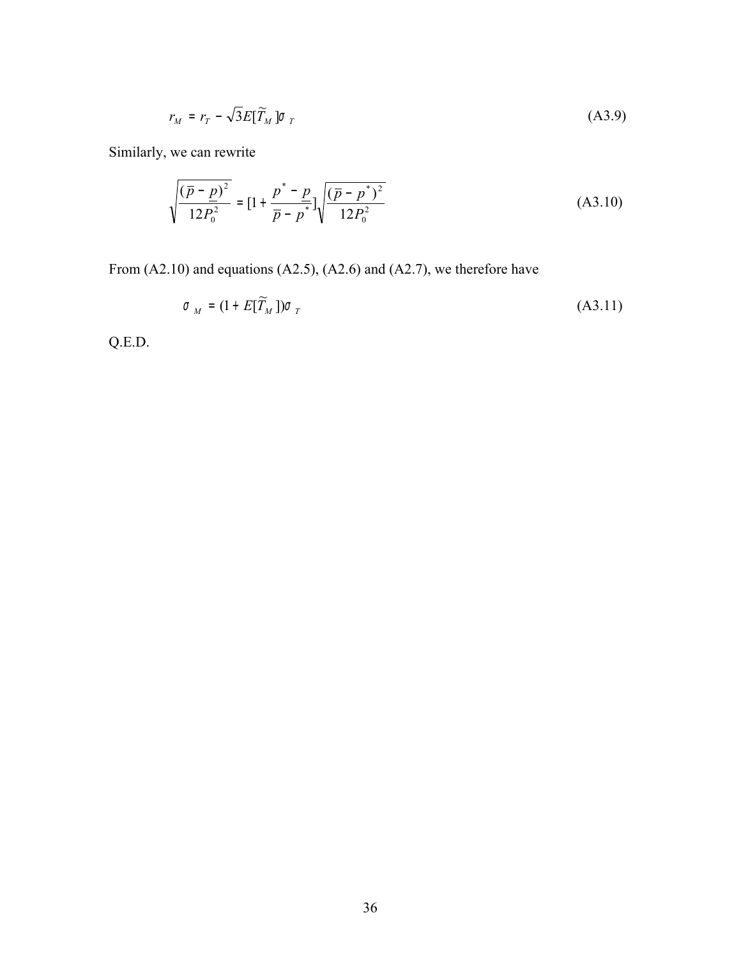$$
r_M = r_T - \sqrt{3}E[\widetilde{T}_M] \sigma_T \tag{A3.9}
$$

Similarly, we can rewrite

$$
\sqrt{\frac{(\overline{p} - \underline{p})^2}{12P_0^2}} = [1 + \frac{p^* - \underline{p}}{\overline{p} - p^*}] \sqrt{\frac{(\overline{p} - p^*)^2}{12P_0^2}}
$$
(A3.10)

From (A2.10) and equations (A2.5), (A2.6) and (A2.7), we therefore have

$$
\sigma_M = (1 + E[\widetilde{T}_M])\sigma_T \tag{A3.11}
$$

Q.E.D.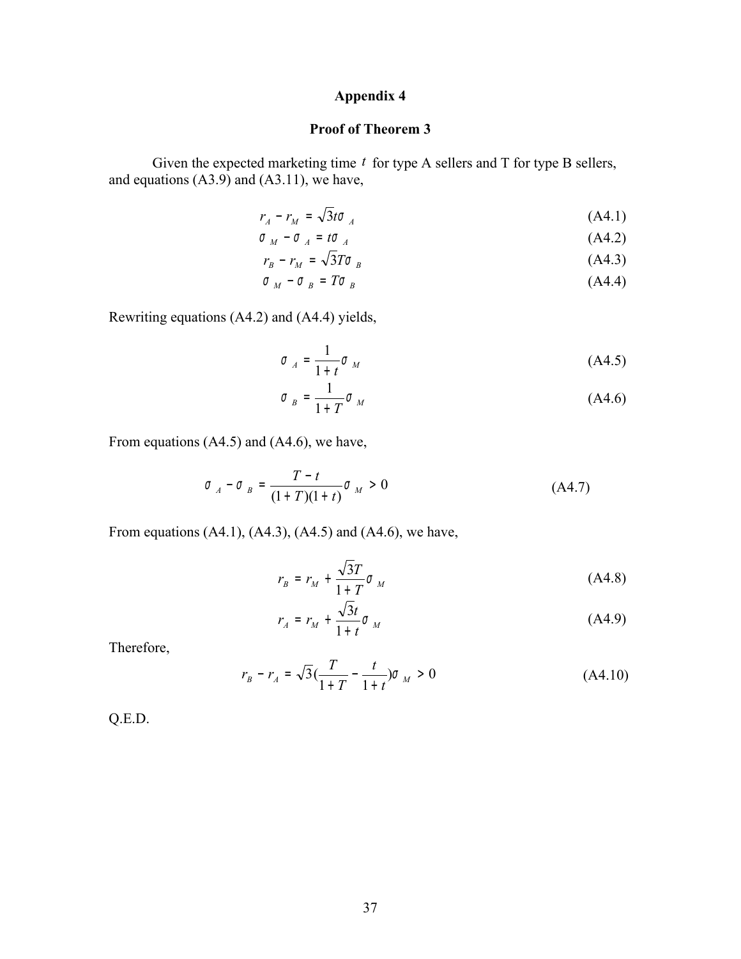## **Appendix 4**

## **Proof of Theorem 3**

Given the expected marketing time  $t$  for type A sellers and T for type B sellers, and equations  $(A3.9)$  and  $(A3.11)$ , we have,

$$
r_A - r_M = \sqrt{3}t\sigma_A \tag{A4.1}
$$

$$
\sigma_M - \sigma_A = t \sigma_A \tag{A4.2}
$$

$$
r_B - r_M = \sqrt{3T\sigma}_B \tag{A4.3}
$$

$$
\sigma_M - \sigma_B = T \sigma_B \tag{A4.4}
$$

Rewriting equations (A4.2) and (A4.4) yields,

$$
\sigma_A = \frac{1}{1+t} \sigma_M \tag{A4.5}
$$

$$
\sigma_B = \frac{1}{1+T} \sigma_M \tag{A4.6}
$$

From equations (A4.5) and (A4.6), we have,

$$
\sigma_A - \sigma_B = \frac{T - t}{(1 + T)(1 + t)} \sigma_M > 0
$$
 (A4.7)

From equations (A4.1), (A4.3), (A4.5) and (A4.6), we have,

$$
r_B = r_M + \frac{\sqrt{3}T}{1+T} \sigma_M \tag{A4.8}
$$

$$
r_A = r_M + \frac{\sqrt{3}t}{1+t} \sigma_M \tag{A4.9}
$$

Therefore,

$$
r_B - r_A = \sqrt{3} \left( \frac{T}{1+T} - \frac{t}{1+t} \right) \sigma_M > 0 \tag{A4.10}
$$

Q.E.D.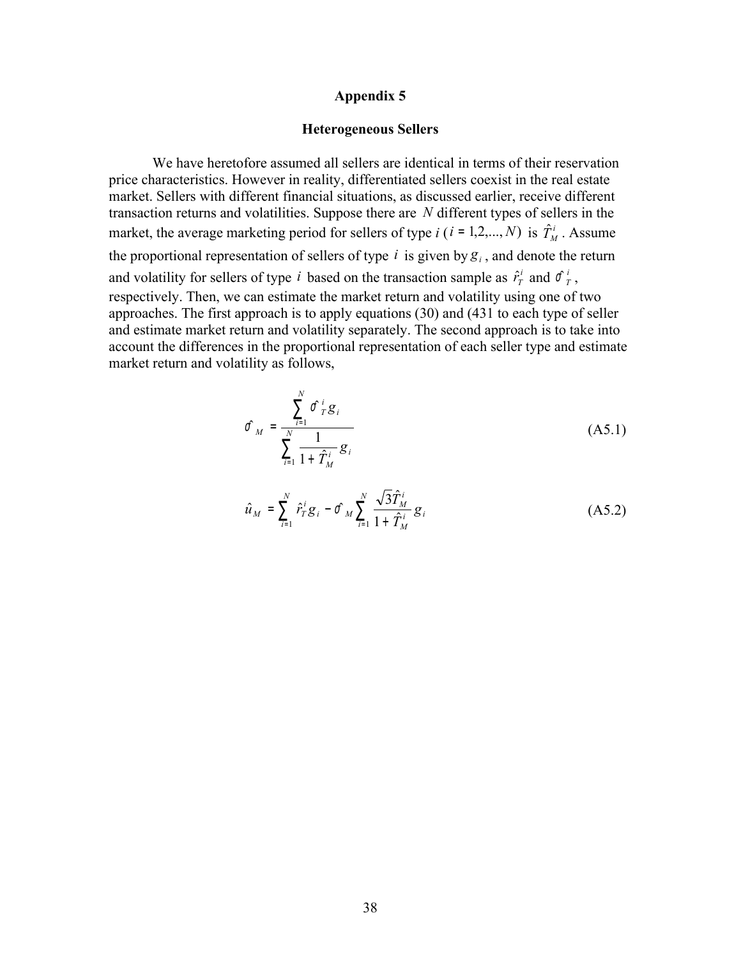#### **Appendix 5**

#### **Heterogeneous Sellers**

We have heretofore assumed all sellers are identical in terms of their reservation price characteristics. However in reality, differentiated sellers coexist in the real estate market. Sellers with different financial situations, as discussed earlier, receive different transaction returns and volatilities. Suppose there are *N* different types of sellers in the market, the average marketing period for sellers of type *i* (*i* = 1,2,..., *N*) is  $\hat{T}^i_M$ . Assume the proportional representation of sellers of type  $i$  is given by  $g_i$ , and denote the return and volatility for sellers of type *i* based on the transaction sample as  $\hat{r}_T^i$  $\hat{r}^i_T$  and  $\hat{\sigma}^i_T$ , respectively. Then, we can estimate the market return and volatility using one of two approaches. The first approach is to apply equations (30) and (431 to each type of seller and estimate market return and volatility separately. The second approach is to take into account the differences in the proportional representation of each seller type and estimate market return and volatility as follows,

$$
\hat{\sigma}_{M} = \frac{\sum_{i=1}^{N} \hat{\sigma}_{T}^{i} g_{i}}{\sum_{i=1}^{N} \frac{1}{1 + \hat{T}_{M}^{i}} g_{i}}
$$
(A5.1)

$$
\hat{u}_M = \sum_{i=1}^N \hat{r}_T^i g_i - \hat{\sigma}_M \sum_{i=1}^N \frac{\sqrt{3} \hat{T}_M^i}{1 + \hat{T}_M^i} g_i
$$
\n(A5.2)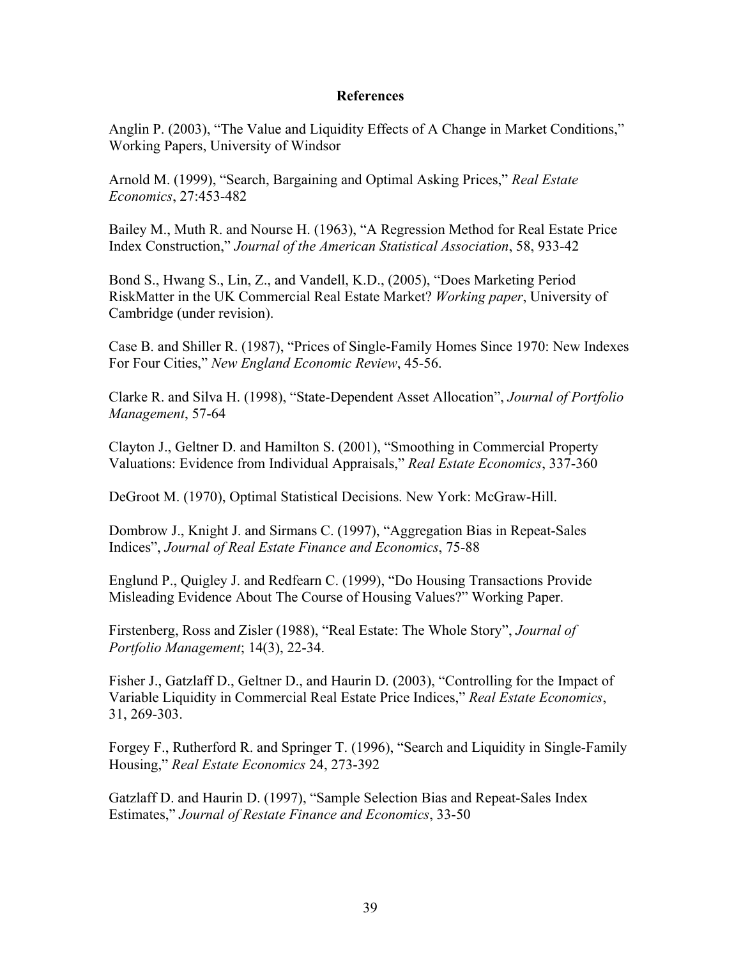### **References**

Anglin P. (2003), "The Value and Liquidity Effects of A Change in Market Conditions," Working Papers, University of Windsor

Arnold M. (1999), "Search, Bargaining and Optimal Asking Prices," *Real Estate Economics*, 27:453-482

Bailey M., Muth R. and Nourse H. (1963), "A Regression Method for Real Estate Price Index Construction," *Journal of the American Statistical Association*, 58, 933-42

Bond S., Hwang S., Lin, Z., and Vandell, K.D., (2005), "Does Marketing Period RiskMatter in the UK Commercial Real Estate Market? *Working paper*, University of Cambridge (under revision).

Case B. and Shiller R. (1987), "Prices of Single-Family Homes Since 1970: New Indexes For Four Cities," *New England Economic Review*, 45-56.

Clarke R. and Silva H. (1998), "State-Dependent Asset Allocation", *Journal of Portfolio Management*, 57-64

Clayton J., Geltner D. and Hamilton S. (2001), "Smoothing in Commercial Property Valuations: Evidence from Individual Appraisals," *Real Estate Economics*, 337-360

DeGroot M. (1970), Optimal Statistical Decisions. New York: McGraw-Hill.

Dombrow J., Knight J. and Sirmans C. (1997), "Aggregation Bias in Repeat-Sales Indices", *Journal of Real Estate Finance and Economics*, 75-88

Englund P., Quigley J. and Redfearn C. (1999), "Do Housing Transactions Provide Misleading Evidence About The Course of Housing Values?" Working Paper.

Firstenberg, Ross and Zisler (1988), "Real Estate: The Whole Story", *Journal of Portfolio Management*; 14(3), 22-34.

Fisher J., Gatzlaff D., Geltner D., and Haurin D. (2003), "Controlling for the Impact of Variable Liquidity in Commercial Real Estate Price Indices," *Real Estate Economics*, 31, 269-303.

Forgey F., Rutherford R. and Springer T. (1996), "Search and Liquidity in Single-Family Housing," *Real Estate Economics* 24, 273-392

Gatzlaff D. and Haurin D. (1997), "Sample Selection Bias and Repeat-Sales Index Estimates," *Journal of Restate Finance and Economics*, 33-50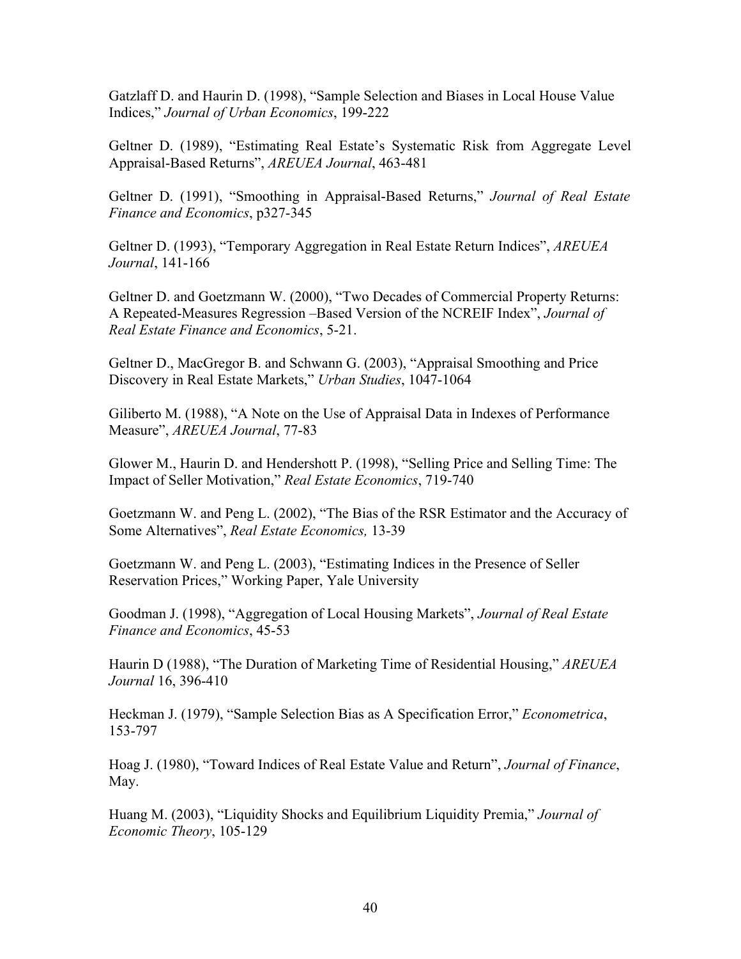Gatzlaff D. and Haurin D. (1998), "Sample Selection and Biases in Local House Value Indices," *Journal of Urban Economics*, 199-222

Geltner D. (1989), "Estimating Real Estate's Systematic Risk from Aggregate Level Appraisal-Based Returns", *AREUEA Journal*, 463-481

Geltner D. (1991), "Smoothing in Appraisal-Based Returns," *Journal of Real Estate Finance and Economics*, p327-345

Geltner D. (1993), "Temporary Aggregation in Real Estate Return Indices", *AREUEA Journal*, 141-166

Geltner D. and Goetzmann W. (2000), "Two Decades of Commercial Property Returns: A Repeated-Measures Regression –Based Version of the NCREIF Index", *Journal of Real Estate Finance and Economics*, 5-21.

Geltner D., MacGregor B. and Schwann G. (2003), "Appraisal Smoothing and Price Discovery in Real Estate Markets," *Urban Studies*, 1047-1064

Giliberto M. (1988), "A Note on the Use of Appraisal Data in Indexes of Performance Measure", *AREUEA Journal*, 77-83

Glower M., Haurin D. and Hendershott P. (1998), "Selling Price and Selling Time: The Impact of Seller Motivation," *Real Estate Economics*, 719-740

Goetzmann W. and Peng L. (2002), "The Bias of the RSR Estimator and the Accuracy of Some Alternatives", *Real Estate Economics,* 13-39

Goetzmann W. and Peng L. (2003), "Estimating Indices in the Presence of Seller Reservation Prices," Working Paper, Yale University

Goodman J. (1998), "Aggregation of Local Housing Markets", *Journal of Real Estate Finance and Economics*, 45-53

Haurin D (1988), "The Duration of Marketing Time of Residential Housing," *AREUEA Journal* 16, 396-410

Heckman J. (1979), "Sample Selection Bias as A Specification Error," *Econometrica*, 153-797

Hoag J. (1980), "Toward Indices of Real Estate Value and Return", *Journal of Finance*, May.

Huang M. (2003), "Liquidity Shocks and Equilibrium Liquidity Premia," *Journal of Economic Theory*, 105-129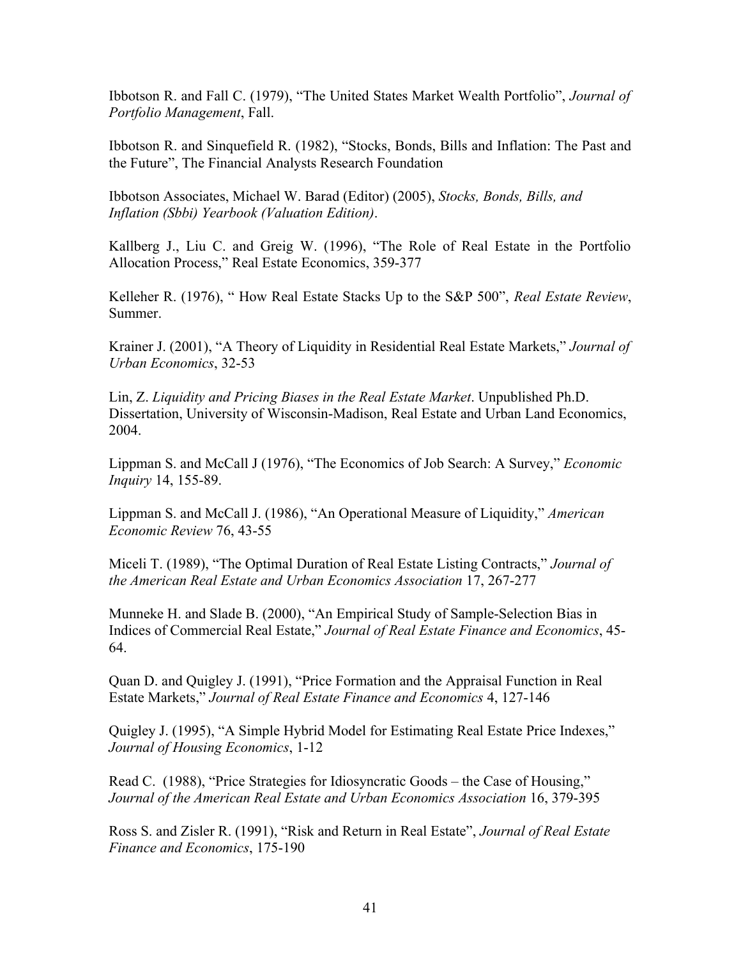Ibbotson R. and Fall C. (1979), "The United States Market Wealth Portfolio", *Journal of Portfolio Management*, Fall.

Ibbotson R. and Sinquefield R. (1982), "Stocks, Bonds, Bills and Inflation: The Past and the Future", The Financial Analysts Research Foundation

Ibbotson Associates, Michael W. Barad (Editor) (2005), *Stocks, Bonds, Bills, and Inflation (Sbbi) Yearbook (Valuation Edition)*.

Kallberg J., Liu C. and Greig W. (1996), "The Role of Real Estate in the Portfolio Allocation Process," Real Estate Economics, 359-377

Kelleher R. (1976), " How Real Estate Stacks Up to the S&P 500", *Real Estate Review*, Summer.

Krainer J. (2001), "A Theory of Liquidity in Residential Real Estate Markets," *Journal of Urban Economics*, 32-53

Lin, Z. *Liquidity and Pricing Biases in the Real Estate Market*. Unpublished Ph.D. Dissertation, University of Wisconsin-Madison, Real Estate and Urban Land Economics, 2004.

Lippman S. and McCall J (1976), "The Economics of Job Search: A Survey," *Economic Inquiry* 14, 155-89.

Lippman S. and McCall J. (1986), "An Operational Measure of Liquidity," *American Economic Review* 76, 43-55

Miceli T. (1989), "The Optimal Duration of Real Estate Listing Contracts," *Journal of the American Real Estate and Urban Economics Association* 17, 267-277

Munneke H. and Slade B. (2000), "An Empirical Study of Sample-Selection Bias in Indices of Commercial Real Estate," *Journal of Real Estate Finance and Economics*, 45- 64.

Quan D. and Quigley J. (1991), "Price Formation and the Appraisal Function in Real Estate Markets," *Journal of Real Estate Finance and Economics* 4, 127-146

Quigley J. (1995), "A Simple Hybrid Model for Estimating Real Estate Price Indexes," *Journal of Housing Economics*, 1-12

Read C. (1988), "Price Strategies for Idiosyncratic Goods – the Case of Housing," *Journal of the American Real Estate and Urban Economics Association* 16, 379-395

Ross S. and Zisler R. (1991), "Risk and Return in Real Estate", *Journal of Real Estate Finance and Economics*, 175-190